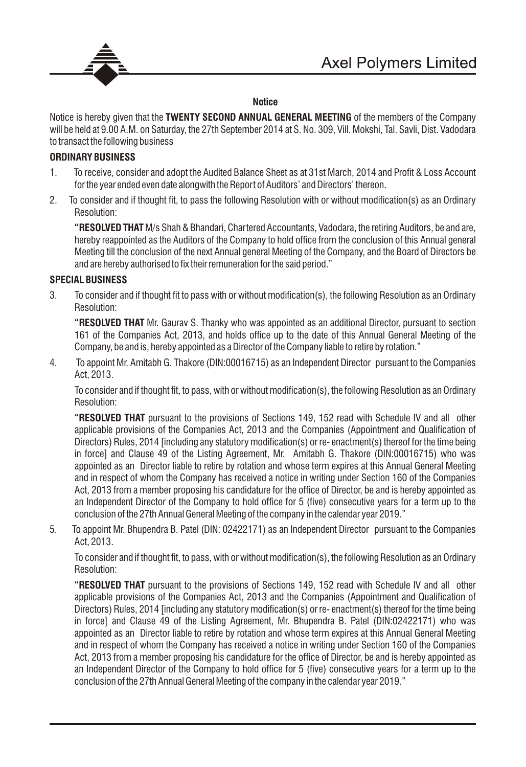

#### **Notice**

Notice is hereby given that the **TWENTY SECOND ANNUAL GENERAL MEETING** of the members of the Company will be held at 9.00 A.M. on Saturday, the 27th September 2014 at S. No. 309, Vill. Mokshi, Tal. Savli, Dist. Vadodara to transact the following business

#### **ORDINARY BUSINESS**

- 1. To receive, consider and adopt the Audited Balance Sheet as at 31st March, 2014 and Profit & Loss Account for the year ended even date alongwith the Report of Auditors' and Directors' thereon.
- 2. To consider and if thought fit, to pass the following Resolution with or without modification(s) as an Ordinary Resolution:

**"RESOLVED THAT** M/s Shah & Bhandari, Chartered Accountants, Vadodara, the retiring Auditors, be and are, hereby reappointed as the Auditors of the Company to hold office from the conclusion of this Annual general Meeting till the conclusion of the next Annual general Meeting of the Company, and the Board of Directors be and are hereby authorised to fix their remuneration for the said period."

#### **SPECIAL BUSINESS**

3. To consider and if thought fit to pass with or without modification(s), the following Resolution as an Ordinary Resolution:

**"RESOLVED THAT** Mr. Gaurav S. Thanky who was appointed as an additional Director, pursuant to section 161 of the Companies Act, 2013, and holds office up to the date of this Annual General Meeting of the Company, be and is, hereby appointed as a Director of the Company liable to retire by rotation."

4. To appoint Mr. Amitabh G. Thakore (DIN:00016715) as an Independent Director pursuant to the Companies Act, 2013.

To consider and if thought fit, to pass, with or without modification(s), the following Resolution as an Ordinary Resolution:

**"RESOLVED THAT** pursuant to the provisions of Sections 149, 152 read with Schedule IV and all other applicable provisions of the Companies Act, 2013 and the Companies (Appointment and Qualification of Directors) Rules, 2014 [including any statutory modification(s) or re- enactment(s) thereof for the time being in force] and Clause 49 of the Listing Agreement, Mr. Amitabh G. Thakore (DIN:00016715) who was appointed as an Director liable to retire by rotation and whose term expires at this Annual General Meeting and in respect of whom the Company has received a notice in writing under Section 160 of the Companies Act, 2013 from a member proposing his candidature for the office of Director, be and is hereby appointed as an Independent Director of the Company to hold office for 5 (five) consecutive years for a term up to the conclusion of the 27th Annual General Meeting of the company in the calendar year 2019."

5. To appoint Mr. Bhupendra B. Patel (DIN: 02422171) as an Independent Director pursuant to the Companies Act, 2013.

To consider and if thought fit, to pass, with or without modification(s), the following Resolution as an Ordinary Resolution:

**"RESOLVED THAT** pursuant to the provisions of Sections 149, 152 read with Schedule IV and all other applicable provisions of the Companies Act, 2013 and the Companies (Appointment and Qualification of Directors) Rules, 2014 [including any statutory modification(s) or re- enactment(s) thereof for the time being in force] and Clause 49 of the Listing Agreement, Mr. Bhupendra B. Patel (DIN:02422171) who was appointed as an Director liable to retire by rotation and whose term expires at this Annual General Meeting and in respect of whom the Company has received a notice in writing under Section 160 of the Companies Act, 2013 from a member proposing his candidature for the office of Director, be and is hereby appointed as an Independent Director of the Company to hold office for 5 (five) consecutive years for a term up to the conclusion of the 27th Annual General Meeting of the company in the calendar year 2019."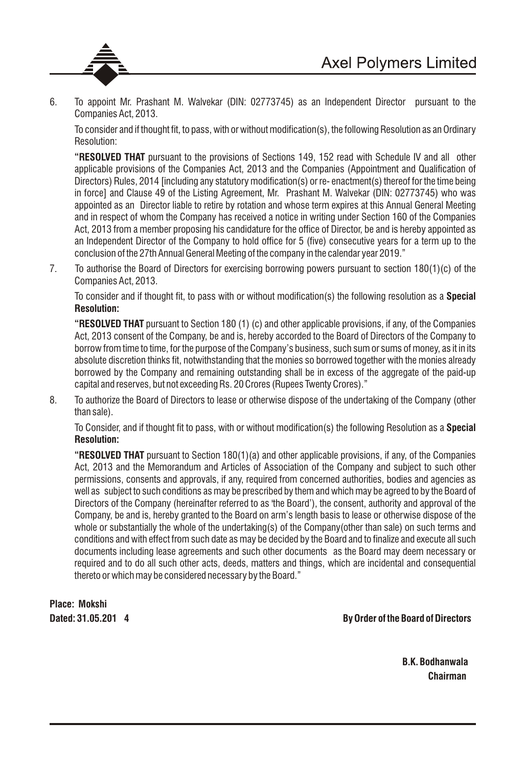

6. To appoint Mr. Prashant M. Walvekar (DIN: 02773745) as an Independent Director pursuant to the Companies Act, 2013.

To consider and if thought fit, to pass, with or without modification(s), the following Resolution as an Ordinary Resolution:

**"RESOLVED THAT** pursuant to the provisions of Sections 149, 152 read with Schedule IV and all other applicable provisions of the Companies Act, 2013 and the Companies (Appointment and Qualification of Directors) Rules, 2014 [including any statutory modification(s) or re- enactment(s) thereof for the time being in force] and Clause 49 of the Listing Agreement, Mr. Prashant M. Walvekar (DIN: 02773745) who was appointed as an Director liable to retire by rotation and whose term expires at this Annual General Meeting and in respect of whom the Company has received a notice in writing under Section 160 of the Companies Act, 2013 from a member proposing his candidature for the office of Director, be and is hereby appointed as an Independent Director of the Company to hold office for 5 (five) consecutive years for a term up to the conclusion of the 27th Annual General Meeting of the company in the calendar year 2019."

7. To authorise the Board of Directors for exercising borrowing powers pursuant to section 180(1)(c) of the Companies Act, 2013.

To consider and if thought fit, to pass with or without modification(s) the following resolution as a **Special Resolution:**

**"RESOLVED THAT** pursuant to Section 180 (1) (c) and other applicable provisions, if any, of the Companies Act, 2013 consent of the Company, be and is, hereby accorded to the Board of Directors of the Company to borrow from time to time, for the purpose of the Company's business, such sum or sums of money, as it in its absolute discretion thinks fit, notwithstanding that the monies so borrowed together with the monies already borrowed by the Company and remaining outstanding shall be in excess of the aggregate of the paid-up capital and reserves, but not exceeding Rs. 20 Crores (Rupees Twenty Crores)."

8. To authorize the Board of Directors to lease or otherwise dispose of the undertaking of the Company (other than sale).

To Consider, and if thought fit to pass, with or without modification(s) the following Resolution as a **Special Resolution:**

**"RESOLVED THAT** pursuant to Section 180(1)(a) and other applicable provisions, if any, of the Companies Act, 2013 and the Memorandum and Articles of Association of the Company and subject to such other permissions, consents and approvals, if any, required from concerned authorities, bodies and agencies as well as subject to such conditions as may be prescribed by them and which may be agreed to by the Board of Directors of the Company (hereinafter referred to as 'the Board'), the consent, authority and approval of the Company, be and is, hereby granted to the Board on arm's length basis to lease or otherwise dispose of the whole or substantially the whole of the undertaking(s) of the Company(other than sale) on such terms and conditions and with effect from such date as may be decided by the Board and to finalize and execute all such documents including lease agreements and such other documents as the Board may deem necessary or required and to do all such other acts, deeds, matters and things, which are incidental and consequential thereto or which may be considered necessary by the Board."

**Place: Mokshi** 

**Dated: 31.05.201 4 By Order of the Board of Directors**

 **B.K. Bodhanwala Chairman Chairman**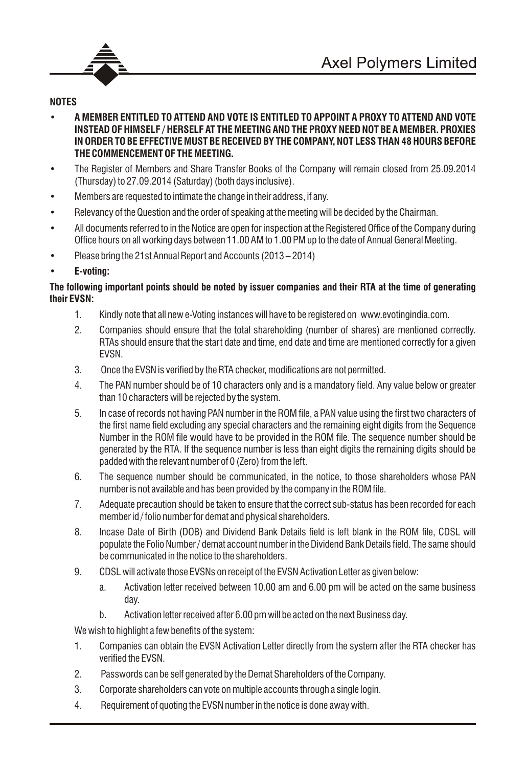

- **• A MEMBER ENTITLED TO ATTEND AND VOTE IS ENTITLED TO APPOINT A PROXY TO ATTEND AND VOTE INSTEAD OF HIMSELF / HERSELF AT THE MEETING AND THE PROXY NEED NOT BE A MEMBER. PROXIES IN ORDER TO BE EFFECTIVE MUST BE RECEIVED BY THE COMPANY, NOT LESS THAN 48 HOURS BEFORE THE COMMENCEMENT OF THE MEETING.**
- The Register of Members and Share Transfer Books of the Company will remain closed from 25.09.2014 (Thursday) to 27.09.2014 (Saturday) (both days inclusive).
- Members are requested to intimate the change in their address, if any.
- Relevancy of the Question and the order of speaking at the meeting will be decided by the Chairman.
- All documents referred to in the Notice are open for inspection at the Registered Office of the Company during Office hours on all working days between 11.00 AM to 1.00 PM up to the date of Annual General Meeting.
- Please bring the 21st Annual Report and Accounts (2013 2014)
- **• E-voting:**

#### **The following important points should be noted by issuer companies and their RTA at the time of generating their EVSN:**

- 1. Kindly note that all new e-Voting instances will have to be registered on www.evotingindia.com.
- 2. Companies should ensure that the total shareholding (number of shares) are mentioned correctly. RTAs should ensure that the start date and time, end date and time are mentioned correctly for a given EVSN.
- 3. Once the EVSN is verified by the RTA checker, modifications are not permitted.
- 4. The PAN number should be of 10 characters only and is a mandatory field. Any value below or greater than 10 characters will be rejected by the system.
- 5. In case of records not having PAN number in the ROM file, a PAN value using the first two characters of the first name field excluding any special characters and the remaining eight digits from the Sequence Number in the ROM file would have to be provided in the ROM file. The sequence number should be generated by the RTA. If the sequence number is less than eight digits the remaining digits should be padded with the relevant number of 0 (Zero) from the left.
- 6. The sequence number should be communicated, in the notice, to those shareholders whose PAN number is not available and has been provided by the company in the ROM file.
- 7. Adequate precaution should be taken to ensure that the correct sub-status has been recorded for each member id / folio number for demat and physical shareholders.
- 8. Incase Date of Birth (DOB) and Dividend Bank Details field is left blank in the ROM file, CDSL will populate the Folio Number / demat account number in the Dividend Bank Details field. The same should be communicated in the notice to the shareholders.
- 9. CDSL will activate those EVSNs on receipt of the EVSN Activation Letter as given below:
	- a. Activation letter received between 10.00 am and 6.00 pm will be acted on the same business day.
	- b. Activation letter received after 6.00 pm will be acted on the next Business day.

We wish to highlight a few benefits of the system:

- 1. Companies can obtain the EVSN Activation Letter directly from the system after the RTA checker has verified the EVSN.
- 2. Passwords can be self generated by the Demat Shareholders of the Company.
- 3. Corporate shareholders can vote on multiple accounts through a single login.
- 4. Requirement of quoting the EVSN number in the notice is done away with.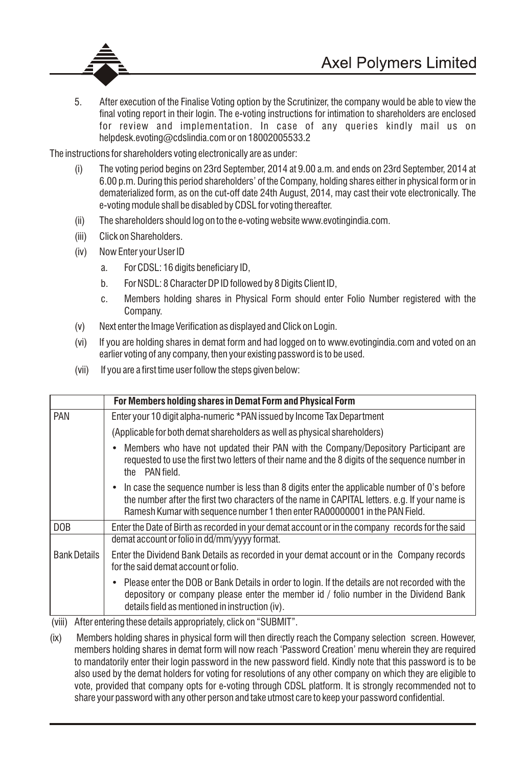5. After execution of the Finalise Voting option by the Scrutinizer, the company would be able to view the final voting report in their login. The e-voting instructions for intimation to shareholders are enclosed for review and implementation. In case of any queries kindly mail us on helpdesk.evoting@cdslindia.com or on 18002005533.2

The instructions for shareholders voting electronically are as under:

- (i) The voting period begins on 23rd September, 2014 at 9.00 a.m. and ends on 23rd September, 2014 at 6.00 p.m. During this period shareholders' of the Company, holding shares either in physical form or in dematerialized form, as on the cut-off date 24th August, 2014, may cast their vote electronically. The e-voting module shall be disabled by CDSL for voting thereafter.
- (ii) The shareholders should log on to the e-voting website www.evotingindia.com.
- (iii) Click on Shareholders.
- (iv) Now Enter your User ID
	- a. For CDSL: 16 digits beneficiary ID,
	- b. For NSDL: 8 Character DP ID followed by 8 Digits Client ID,
	- c. Members holding shares in Physical Form should enter Folio Number registered with the Company.
- (v) Next enter the Image Verification as displayed and Click on Login.
- (vi) If you are holding shares in demat form and had logged on to www.evotingindia.com and voted on an earlier voting of any company, then your existing password is to be used.
- (vii) If you are a first time user follow the steps given below:

|                     | For Members holding shares in Demat Form and Physical Form                                                                                                                                                                                                                     |  |  |
|---------------------|--------------------------------------------------------------------------------------------------------------------------------------------------------------------------------------------------------------------------------------------------------------------------------|--|--|
| <b>PAN</b>          | Enter your 10 digit alpha-numeric *PAN issued by Income Tax Department                                                                                                                                                                                                         |  |  |
|                     | (Applicable for both demat shareholders as well as physical shareholders)                                                                                                                                                                                                      |  |  |
|                     | Members who have not updated their PAN with the Company/Depository Participant are<br>٠<br>requested to use the first two letters of their name and the 8 digits of the sequence number in<br>the PAN field.                                                                   |  |  |
|                     | • In case the sequence number is less than 8 digits enter the applicable number of 0's before<br>the number after the first two characters of the name in CAPITAL letters, e.g. If your name is<br>Ramesh Kumar with sequence number 1 then enter RA00000001 in the PAN Field. |  |  |
| D <sub>O</sub> B    | Enter the Date of Birth as recorded in your demat account or in the company records for the said                                                                                                                                                                               |  |  |
|                     | demat account or folio in dd/mm/yyyy format.                                                                                                                                                                                                                                   |  |  |
| <b>Bank Details</b> | Enter the Dividend Bank Details as recorded in your demat account or in the Company records<br>for the said demat account or folio.                                                                                                                                            |  |  |
|                     | Please enter the DOB or Bank Details in order to login. If the details are not recorded with the<br>٠<br>depository or company please enter the member id / folio number in the Dividend Bank<br>details field as mentioned in instruction (iv).                               |  |  |
| (viii)              | After entering these details appropriately click on "SHRMIT"                                                                                                                                                                                                                   |  |  |

(viii) After entering these details appropriately, click on "SUBMIT".

(ix) Members holding shares in physical form will then directly reach the Company selection screen. However, members holding shares in demat form will now reach 'Password Creation' menu wherein they are required to mandatorily enter their login password in the new password field. Kindly note that this password is to be also used by the demat holders for voting for resolutions of any other company on which they are eligible to vote, provided that company opts for e-voting through CDSL platform. It is strongly recommended not to share your password with any other person and take utmost care to keep your password confidential.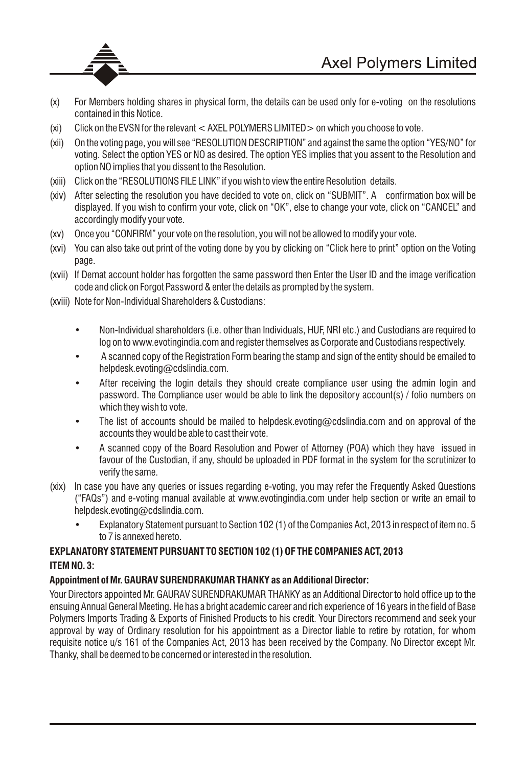



- (xi) Click on the EVSN for the relevant < AXEL POLYMERS LIMITED> on which you choose to vote.
- (xii) On the voting page, you will see "RESOLUTION DESCRIPTION" and against the same the option "YES/NO" for voting. Select the option YES or NO as desired. The option YES implies that you assent to the Resolution and option NO implies that you dissent to the Resolution.
- (xiii) Click on the "RESOLUTIONS FILE LINK" if you wish to view the entire Resolution details.
- (xiv) After selecting the resolution you have decided to vote on, click on "SUBMIT". A confirmation box will be displayed. If you wish to confirm your vote, click on "OK", else to change your vote, click on "CANCEL" and accordingly modify your vote.
- (xv) Once you "CONFIRM" your vote on the resolution, you will not be allowed to modify your vote.
- (xvi) You can also take out print of the voting done by you by clicking on "Click here to print" option on the Voting page.
- (xvii) If Demat account holder has forgotten the same password then Enter the User ID and the image verification code and click on Forgot Password & enter the details as prompted by the system.
- (xviii) Note for Non-Individual Shareholders & Custodians:
	- Non-Individual shareholders (i.e. other than Individuals, HUF, NRI etc.) and Custodians are required to log on to www.evotingindia.com and register themselves as Corporate and Custodians respectively.
	- A scanned copy of the Registration Form bearing the stamp and sign of the entity should be emailed to helpdesk.evoting@cdslindia.com.
	- After receiving the login details they should create compliance user using the admin login and password. The Compliance user would be able to link the depository account(s) / folio numbers on which they wish to vote.
	- The list of accounts should be mailed to helpdesk.evoting@cdslindia.com and on approval of the accounts they would be able to cast their vote.
	- A scanned copy of the Board Resolution and Power of Attorney (POA) which they have issued in favour of the Custodian, if any, should be uploaded in PDF format in the system for the scrutinizer to verify the same.
- (xix) In case you have any queries or issues regarding e-voting, you may refer the Frequently Asked Questions ("FAQs") and e-voting manual available at www.evotingindia.com under help section or write an email to helpdesk.evoting@cdslindia.com.
	- Explanatory Statement pursuant to Section 102 (1) of the Companies Act, 2013 in respect of item no. 5 to 7 is annexed hereto.

#### **EXPLANATORY STATEMENT PURSUANT TO SECTION 102 (1) OF THE COMPANIES ACT, 2013**

#### **ITEM NO. 3:**

#### **Appointment of Mr. GAURAV SURENDRAKUMAR THANKY as an Additional Director:**

Your Directors appointed Mr. GAURAV SURENDRAKUMAR THANKY as an Additional Director to hold office up to the ensuing Annual General Meeting. He has a bright academic career and rich experience of 16 years in the field of Base Polymers Imports Trading & Exports of Finished Products to his credit. Your Directors recommend and seek your approval by way of Ordinary resolution for his appointment as a Director liable to retire by rotation, for whom requisite notice u/s 161 of the Companies Act, 2013 has been received by the Company. No Director except Mr. Thanky, shall be deemed to be concerned or interested in the resolution.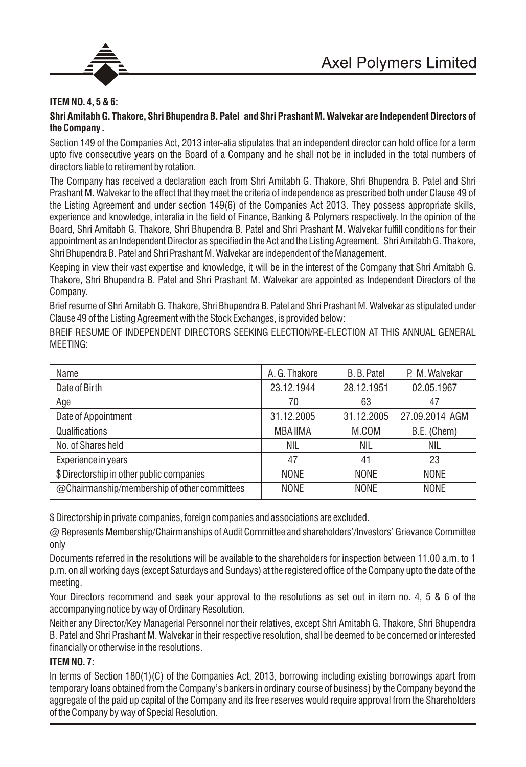

#### **ITEM NO. 4, 5 & 6:**

#### **Shri Amitabh G. Thakore, Shri Bhupendra B. Patel and Shri Prashant M. Walvekar are Independent Directors of the Company .**

Section 149 of the Companies Act, 2013 inter-alia stipulates that an independent director can hold office for a term upto five consecutive years on the Board of a Company and he shall not be in included in the total numbers of directors liable to retirement by rotation.

The Company has received a declaration each from Shri Amitabh G. Thakore, Shri Bhupendra B. Patel and Shri Prashant M. Walvekar to the effect that they meet the criteria of independence as prescribed both under Clause 49 of the Listing Agreement and under section 149(6) of the Companies Act 2013. They possess appropriate skills, experience and knowledge, interalia in the field of Finance, Banking & Polymers respectively. In the opinion of the Board, Shri Amitabh G. Thakore, Shri Bhupendra B. Patel and Shri Prashant M. Walvekar fulfill conditions for their appointment as an Independent Director as specified in the Act and the Listing Agreement. Shri Amitabh G. Thakore, Shri Bhupendra B. Patel and Shri Prashant M. Walvekar are independent of the Management.

Keeping in view their vast expertise and knowledge, it will be in the interest of the Company that Shri Amitabh G. Thakore, Shri Bhupendra B. Patel and Shri Prashant M. Walvekar are appointed as Independent Directors of the Company.

Brief resume of Shri Amitabh G. Thakore, Shri Bhupendra B. Patel and Shri Prashant M. Walvekar as stipulated under Clause 49 of the Listing Agreement with the Stock Exchanges, is provided below:

BREIF RESUME OF INDEPENDENT DIRECTORS SEEKING ELECTION/RE-ELECTION AT THIS ANNUAL GENERAL MEETING:

| Name                                         | A. G. Thakore   | B. B. Patel | P. M. Walvekar |
|----------------------------------------------|-----------------|-------------|----------------|
| Date of Birth                                | 23.12.1944      | 28.12.1951  | 02.05.1967     |
| Age                                          | 70              | 63          | 47             |
| Date of Appointment                          | 31.12.2005      | 31.12.2005  | 27.09.2014 AGM |
| Qualifications                               | <b>MBA IIMA</b> | M.COM       | B.E. (Chem)    |
| No. of Shares held                           | NIL             | <b>NIL</b>  | <b>NIL</b>     |
| Experience in years                          | 47              | 41          | 23             |
| \$ Directorship in other public companies    | <b>NONE</b>     | <b>NONE</b> | <b>NONE</b>    |
| @Chairmanship/membership of other committees | <b>NONE</b>     | <b>NONE</b> | <b>NONE</b>    |

\$ Directorship in private companies, foreign companies and associations are excluded.

@ Represents Membership/Chairmanships of Audit Committee and shareholders'/Investors' Grievance Committee only

Documents referred in the resolutions will be available to the shareholders for inspection between 11.00 a.m. to 1 p.m. on all working days (except Saturdays and Sundays) at the registered office of the Company upto the date of the meeting.

Your Directors recommend and seek your approval to the resolutions as set out in item no. 4, 5 & 6 of the accompanying notice by way of Ordinary Resolution.

Neither any Director/Key Managerial Personnel nor their relatives, except Shri Amitabh G. Thakore, Shri Bhupendra B. Patel and Shri Prashant M. Walvekar in their respective resolution, shall be deemed to be concerned or interested financially or otherwise in the resolutions.

#### **ITEM NO. 7:**

In terms of Section 180(1)(C) of the Companies Act, 2013, borrowing including existing borrowings apart from temporary loans obtained from the Company's bankers in ordinary course of business) by the Company beyond the aggregate of the paid up capital of the Company and its free reserves would require approval from the Shareholders of the Company by way of Special Resolution.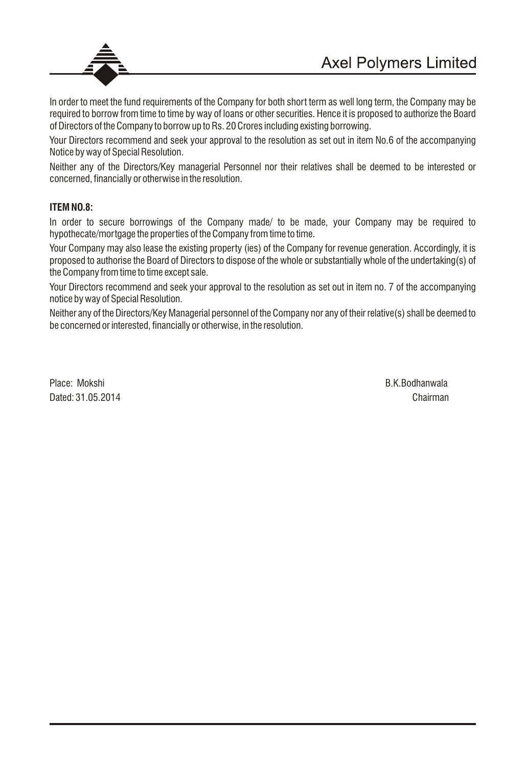



In order to meet the fund requirements of the Company for both short term as well long term, the Company may be required to borrow from time to time by way of loans or other securities. Hence it is proposed to authorize the Board of Directors of the Company to borrow up to Rs. 20 Crores including existing borrowing.

Your Directors recommend and seek your approval to the resolution as set out in item No.6 of the accompanying Notice by way of Special Resolution.

Neither any of the Directors/Key managerial Personnel nor their relatives shall be deemed to be interested or concerned, financially or otherwise in the resolution.

#### **ITEM NO.8:**

In order to secure borrowings of the Company made/ to be made, your Company may be required to hypothecate/mortgage the properties of the Company from time to time.

Your Company may also lease the existing property (ies) of the Company for revenue generation. Accordingly, it is proposed to authorise the Board of Directors to dispose of the whole or substantially whole of the undertaking(s) of the Company from time to time except sale.

Your Directors recommend and seek your approval to the resolution as set out in item no. 7 of the accompanying notice by way of Special Resolution.

Neither any of the Directors/Key Managerial personnel of the Company nor any of their relative(s) shall be deemed to be concerned or interested, financially or otherwise, in the resolution.

Place: Mokshi B.K.Bodhanwala Dated: 31.05.2014 Chairman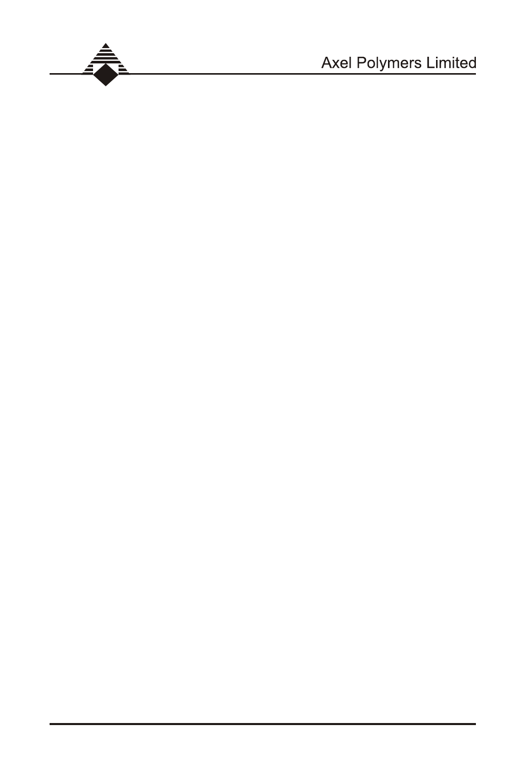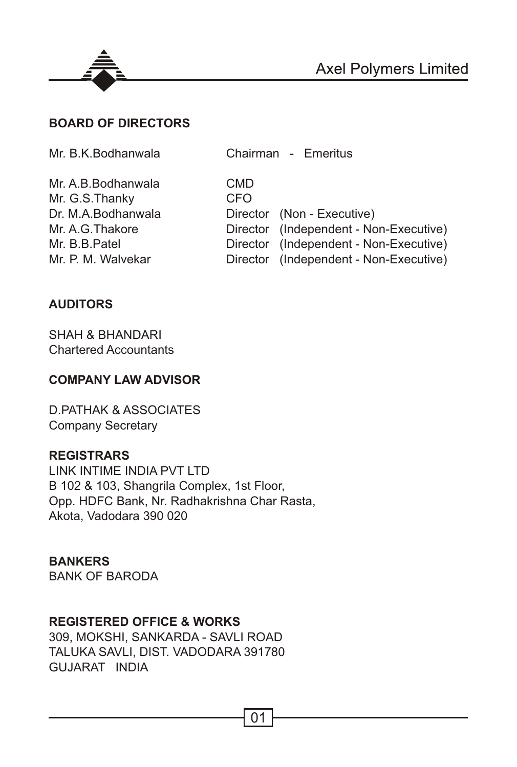

# **BOARD OF DIRECTORS**

| Mr. B.K.Bodhanwala | Chairman - Emeritus                    |
|--------------------|----------------------------------------|
| Mr. A.B.Bodhanwala | <b>CMD</b>                             |
| Mr. G.S. Thanky    | CFO                                    |
| Dr. M.A.Bodhanwala | Director (Non - Executive)             |
| Mr. A.G. Thakore   | Director (Independent - Non-Executive) |
| Mr. B.B.Patel      | Director (Independent - Non-Executive) |
| Mr. P. M. Walvekar | Director (Independent - Non-Executive) |

# **AUDITORS**

SHAH & BHANDARI Chartered Accountants

# **COMPANY LAW ADVISOR**

D.PATHAK & ASSOCIATES Company Secretary

# **REGISTRARS**

LINK INTIME INDIA PVT LTD B 102 & 103, Shangrila Complex, 1st Floor, Opp. HDFC Bank, Nr. Radhakrishna Char Rasta, Akota, Vadodara 390 020

**BANKERS** BANK OF BARODA

# **REGISTERED OFFICE & WORKS**

309, MOKSHI, SANKARDA - SAVLI ROAD TALUKA SAVLI, DIST. VADODARA 391780 GUJARAT INDIA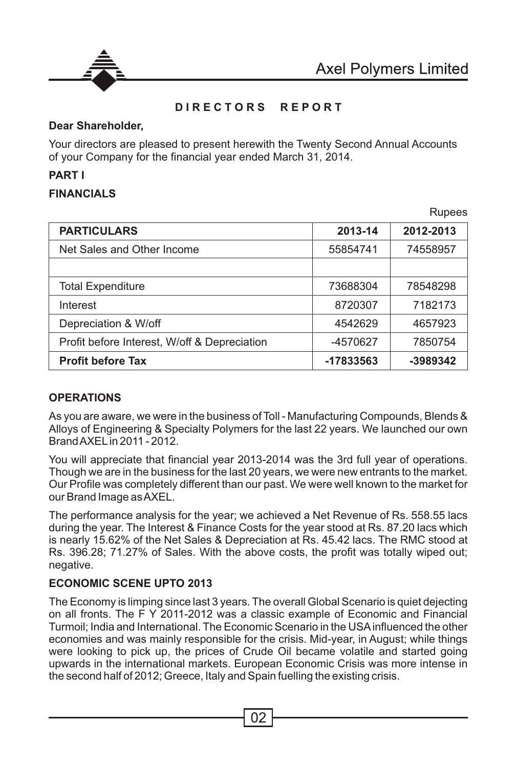

**Punces** 

# **D I R E C T O R S R E P O R T**

#### **Dear Shareholder,**

Your directors are pleased to present herewith the Twenty Second Annual Accounts of your Company for the financial year ended March 31, 2014.

#### **PART I**

#### **FINANCIALS**

|                                              |           | , wpooo   |
|----------------------------------------------|-----------|-----------|
| <b>PARTICULARS</b>                           | 2013-14   | 2012-2013 |
| Net Sales and Other Income                   | 55854741  | 74558957  |
|                                              |           |           |
| <b>Total Expenditure</b>                     | 73688304  | 78548298  |
| Interest                                     | 8720307   | 7182173   |
| Depreciation & W/off                         | 4542629   | 4657923   |
| Profit before Interest, W/off & Depreciation | -4570627  | 7850754   |
| <b>Profit before Tax</b>                     | -17833563 | -3989342  |

#### **OPERATIONS**

As you are aware, we were in the business of Toll - Manufacturing Compounds, Blends & Alloys of Engineering & Specialty Polymers for the last 22 years. We launched our own Brand AXELin 2011 - 2012.

You will appreciate that financial year 2013-2014 was the 3rd full year of operations. Though we are in the business for the last 20 years, we were new entrants to the market. Our Profile was completely different than our past. We were well known to the market for our Brand Image as AXEL.

The performance analysis for the year; we achieved a Net Revenue of Rs. 558.55 lacs during the year. The Interest & Finance Costs for the year stood at Rs. 87.20 lacs which is nearly 15.62% of the Net Sales & Depreciation at Rs. 45.42 lacs. The RMC stood at Rs. 396.28; 71.27% of Sales. With the above costs, the profit was totally wiped out; negative.

## **ECONOMIC SCENE UPTO 2013**

The Economy is limping since last 3 years. The overall Global Scenario is quiet dejecting on all fronts. The F Y 2011-2012 was a classic example of Economic and Financial Turmoil; India and International. The Economic Scenario in the USAinfluenced the other economies and was mainly responsible for the crisis. Mid-year, in August; while things were looking to pick up, the prices of Crude Oil became volatile and started going upwards in the international markets. European Economic Crisis was more intense in the second half of 2012; Greece, Italy and Spain fuelling the existing crisis.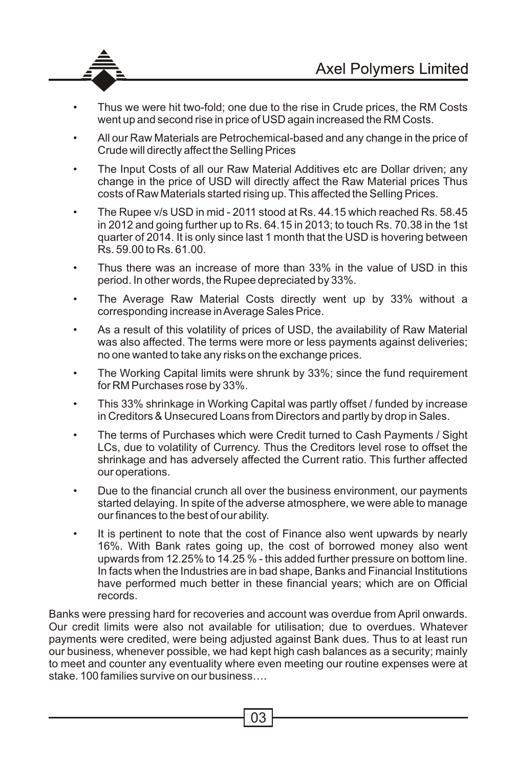- Thus we were hit two-fold; one due to the rise in Crude prices, the RM Costs went up and second rise in price of USD again increased the RM Costs.
- All our Raw Materials are Petrochemical-based and any change in the price of Crude will directly affect the Selling Prices
- The Input Costs of all our Raw Material Additives etc are Dollar driven; any change in the price of USD will directly affect the Raw Material prices Thus costs of Raw Materials started rising up. This affected the Selling Prices.
- The Rupee v/s USD in mid 2011 stood at Rs. 44.15 which reached Rs. 58.45 in 2012 and going further up to Rs. 64.15 in 2013; to touch Rs. 70.38 in the 1st quarter of 2014. It is only since last 1 month that the USD is hovering between Rs. 59.00 to Rs. 61.00.
- Thus there was an increase of more than 33% in the value of USD in this period. In other words, the Rupee depreciated by 33%.
- The Average Raw Material Costs directly went up by 33% without a corresponding increase in Average Sales Price.
- As a result of this volatility of prices of USD, the availability of Raw Material was also affected. The terms were more or less payments against deliveries; no one wanted to take any risks on the exchange prices.
- The Working Capital limits were shrunk by 33%; since the fund requirement for RM Purchases rose by 33%.
- This 33% shrinkage in Working Capital was partly offset / funded by increase in Creditors & Unsecured Loans from Directors and partly by drop in Sales.
- The terms of Purchases which were Credit turned to Cash Payments / Sight LCs, due to volatility of Currency. Thus the Creditors level rose to offset the shrinkage and has adversely affected the Current ratio. This further affected our operations.
- Due to the financial crunch all over the business environment, our payments started delaying. In spite of the adverse atmosphere, we were able to manage our finances to the best of our ability.
- It is pertinent to note that the cost of Finance also went upwards by nearly 16%. With Bank rates going up, the cost of borrowed money also went upwards from 12.25% to 14.25 % - this added further pressure on bottom line. In facts when the Industries are in bad shape, Banks and Financial Institutions have performed much better in these financial years; which are on Official records.

Banks were pressing hard for recoveries and account was overdue from April onwards. Our credit limits were also not available for utilisation; due to overdues. Whatever payments were credited, were being adjusted against Bank dues. Thus to at least run our business, whenever possible, we had kept high cash balances as a security; mainly to meet and counter any eventuality where even meeting our routine expenses were at stake. 100 families survive on our business….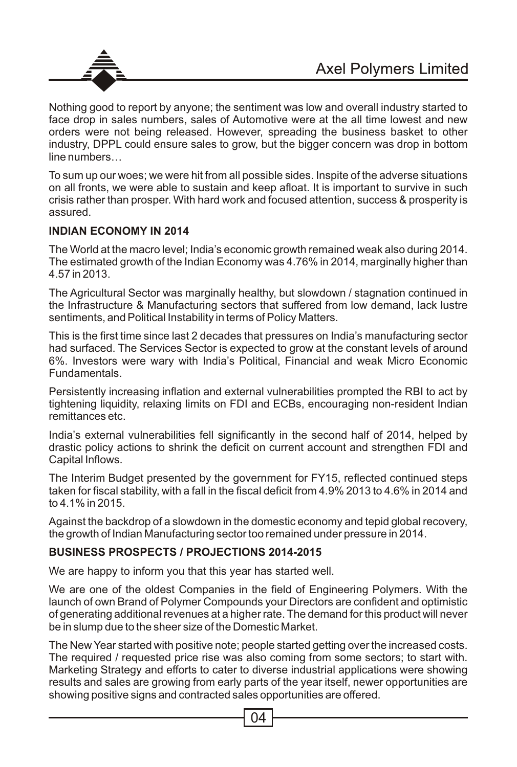

Nothing good to report by anyone; the sentiment was low and overall industry started to face drop in sales numbers, sales of Automotive were at the all time lowest and new orders were not being released. However, spreading the business basket to other industry, DPPL could ensure sales to grow, but the bigger concern was drop in bottom line numbers…

To sum up our woes; we were hit from all possible sides. Inspite of the adverse situations on all fronts, we were able to sustain and keep afloat. It is important to survive in such crisis rather than prosper. With hard work and focused attention, success & prosperity is assured.

# **INDIAN ECONOMY IN 2014**

The World at the macro level; India's economic growth remained weak also during 2014. The estimated growth of the Indian Economy was 4.76% in 2014, marginally higher than 4.57 in 2013.

The Agricultural Sector was marginally healthy, but slowdown / stagnation continued in the Infrastructure & Manufacturing sectors that suffered from low demand, lack lustre sentiments, and Political Instability in terms of Policy Matters.

This is the first time since last 2 decades that pressures on India's manufacturing sector had surfaced. The Services Sector is expected to grow at the constant levels of around 6%. Investors were wary with India's Political, Financial and weak Micro Economic Fundamentals.

Persistently increasing inflation and external vulnerabilities prompted the RBI to act by tightening liquidity, relaxing limits on FDI and ECBs, encouraging non-resident Indian remittances etc.

India's external vulnerabilities fell significantly in the second half of 2014, helped by drastic policy actions to shrink the deficit on current account and strengthen FDI and Capital Inflows.

The Interim Budget presented by the government for FY15, reflected continued steps taken for fiscal stability, with a fall in the fiscal deficit from 4.9% 2013 to 4.6% in 2014 and to 4.1% in 2015.

Against the backdrop of a slowdown in the domestic economy and tepid global recovery, the growth of Indian Manufacturing sector too remained under pressure in 2014.

#### **BUSINESS PROSPECTS / PROJECTIONS 2014-2015**

We are happy to inform you that this year has started well.

We are one of the oldest Companies in the field of Engineering Polymers. With the launch of own Brand of Polymer Compounds your Directors are confident and optimistic of generating additional revenues at a higher rate. The demand for this product will never be in slump due to the sheer size of the Domestic Market.

The New Year started with positive note; people started getting over the increased costs. The required / requested price rise was also coming from some sectors; to start with. Marketing Strategy and efforts to cater to diverse industrial applications were showing results and sales are growing from early parts of the year itself, newer opportunities are showing positive signs and contracted sales opportunities are offered.

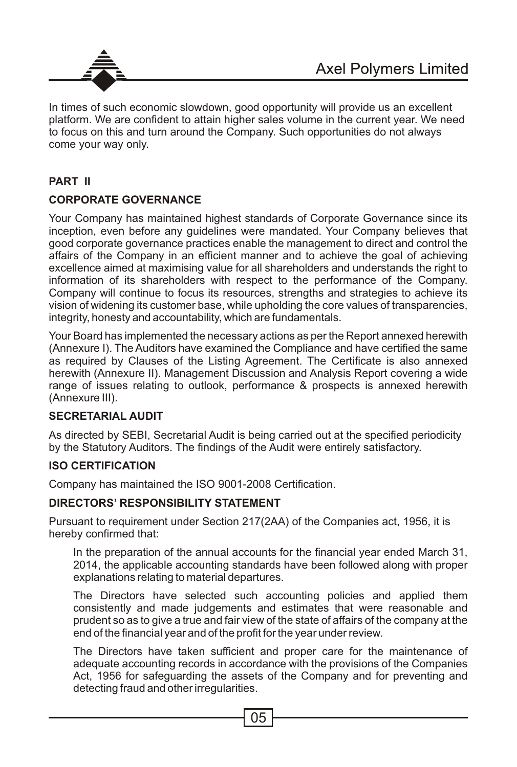

In times of such economic slowdown, good opportunity will provide us an excellent platform. We are confident to attain higher sales volume in the current year. We need to focus on this and turn around the Company. Such opportunities do not always come your way only.

# **PART II**

# **CORPORATE GOVERNANCE**

Your Company has maintained highest standards of Corporate Governance since its inception, even before any guidelines were mandated. Your Company believes that good corporate governance practices enable the management to direct and control the affairs of the Company in an efficient manner and to achieve the goal of achieving excellence aimed at maximising value for all shareholders and understands the right to information of its shareholders with respect to the performance of the Company. Company will continue to focus its resources, strengths and strategies to achieve its vision of widening its customer base, while upholding the core values of transparencies, integrity, honesty and accountability, which are fundamentals.

Your Board has implemented the necessary actions as per the Report annexed herewith (Annexure I). The Auditors have examined the Compliance and have certified the same as required by Clauses of the Listing Agreement. The Certificate is also annexed herewith (Annexure II). Management Discussion and Analysis Report covering a wide range of issues relating to outlook, performance & prospects is annexed herewith (Annexure III).

#### **SECRETARIAL AUDIT**

As directed by SEBI, Secretarial Audit is being carried out at the specified periodicity by the Statutory Auditors. The findings of the Audit were entirely satisfactory.

#### **ISO CERTIFICATION**

Company has maintained the ISO 9001-2008 Certification.

#### **DIRECTORS' RESPONSIBILITY STATEMENT**

Pursuant to requirement under Section 217(2AA) of the Companies act, 1956, it is hereby confirmed that:

In the preparation of the annual accounts for the financial year ended March 31, 2014, the applicable accounting standards have been followed along with proper explanations relating to material departures.

The Directors have selected such accounting policies and applied them consistently and made judgements and estimates that were reasonable and prudent so as to give a true and fair view of the state of affairs of the company at the end of the financial year and of the profit for the year under review.

The Directors have taken sufficient and proper care for the maintenance of adequate accounting records in accordance with the provisions of the Companies Act, 1956 for safeguarding the assets of the Company and for preventing and detecting fraud and other irregularities.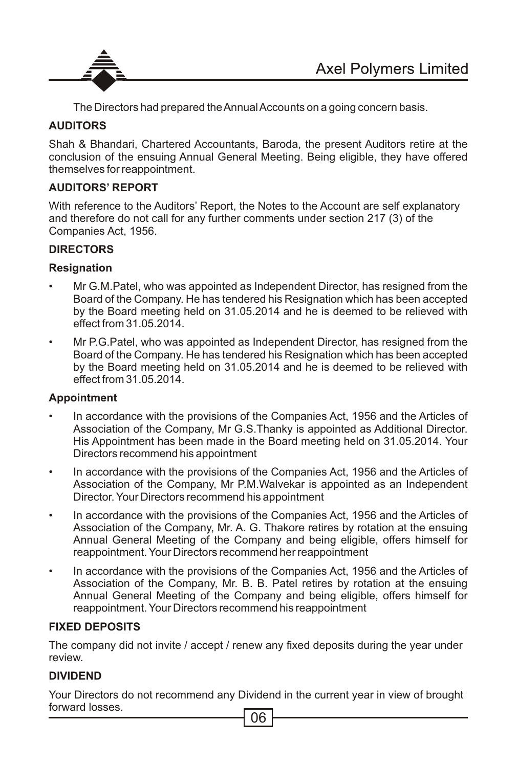

The Directors had prepared the Annual Accounts on a going concern basis.

# **AUDITORS**

Shah & Bhandari, Chartered Accountants, Baroda, the present Auditors retire at the conclusion of the ensuing Annual General Meeting. Being eligible, they have offered themselves for reappointment.

## **AUDITORS' REPORT**

With reference to the Auditors' Report, the Notes to the Account are self explanatory and therefore do not call for any further comments under section 217 (3) of the Companies Act, 1956.

# **DIRECTORS**

#### **Resignation**

- Mr G.M.Patel, who was appointed as Independent Director, has resigned from the Board of the Company. He has tendered his Resignation which has been accepted by the Board meeting held on 31.05.2014 and he is deemed to be relieved with effect from 31.05.2014.
- Mr P.G.Patel, who was appointed as Independent Director, has resigned from the Board of the Company. He has tendered his Resignation which has been accepted by the Board meeting held on 31.05.2014 and he is deemed to be relieved with effect from 31.05.2014.

#### **Appointment**

- In accordance with the provisions of the Companies Act, 1956 and the Articles of Association of the Company, Mr G.S.Thanky is appointed as Additional Director. His Appointment has been made in the Board meeting held on 31.05.2014. Your Directors recommend his appointment
- In accordance with the provisions of the Companies Act, 1956 and the Articles of Association of the Company, Mr P.M.Walvekar is appointed as an Independent Director. Your Directors recommend his appointment
- In accordance with the provisions of the Companies Act, 1956 and the Articles of Association of the Company, Mr. A. G. Thakore retires by rotation at the ensuing Annual General Meeting of the Company and being eligible, offers himself for reappointment. Your Directors recommend her reappointment
- In accordance with the provisions of the Companies Act, 1956 and the Articles of Association of the Company, Mr. B. B. Patel retires by rotation at the ensuing Annual General Meeting of the Company and being eligible, offers himself for reappointment. Your Directors recommend his reappointment

# **FIXED DEPOSITS**

The company did not invite / accept / renew any fixed deposits during the year under review.

# **DIVIDEND**

Your Directors do not recommend any Dividend in the current year in view of brought forward losses.

06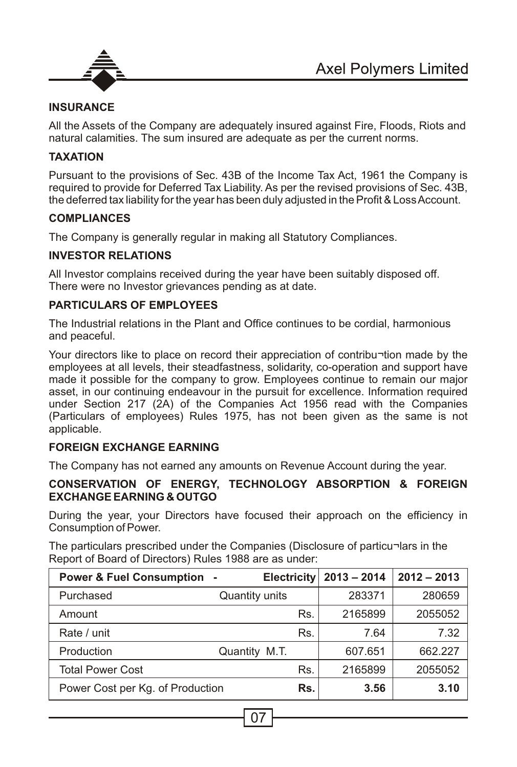

# **INSURANCE**

All the Assets of the Company are adequately insured against Fire, Floods, Riots and natural calamities. The sum insured are adequate as per the current norms.

## **TAXATION**

Pursuant to the provisions of Sec. 43B of the Income Tax Act, 1961 the Company is required to provide for Deferred Tax Liability. As per the revised provisions of Sec. 43B, the deferred tax liability for the year has been duly adjusted in the Profit & Loss Account.

# **COMPLIANCES**

The Company is generally regular in making all Statutory Compliances.

#### **INVESTOR RELATIONS**

All Investor complains received during the year have been suitably disposed off. There were no Investor grievances pending as at date.

# **PARTICULARS OF EMPLOYEES**

The Industrial relations in the Plant and Office continues to be cordial, harmonious and peaceful.

Your directors like to place on record their appreciation of contribu¬tion made by the employees at all levels, their steadfastness, solidarity, co-operation and support have made it possible for the company to grow. Employees continue to remain our major asset, in our continuing endeavour in the pursuit for excellence. Information required under Section 217 (2A) of the Companies Act 1956 read with the Companies (Particulars of employees) Rules 1975, has not been given as the same is not applicable.

# **FOREIGN EXCHANGE EARNING**

The Company has not earned any amounts on Revenue Account during the year.

#### **CONSERVATION OF ENERGY, TECHNOLOGY ABSORPTION & FOREIGN EXCHANGE EARNING & OUTGO**

During the year, your Directors have focused their approach on the efficiency in Consumption of Power.

The particulars prescribed under the Companies (Disclosure of particu¬lars in the Report of Board of Directors) Rules 1988 are as under:

| <b>Power &amp; Fuel Consumption -</b> |                | <b>Electricity</b> | $2013 - 2014$ | $2012 - 2013$ |
|---------------------------------------|----------------|--------------------|---------------|---------------|
| Purchased                             | Quantity units |                    | 283371        | 280659        |
| Amount                                |                | Rs.                | 2165899       | 2055052       |
| Rate / unit                           |                | Rs.                | 7.64          | 7.32          |
| Production                            | Quantity M.T.  |                    | 607.651       | 662.227       |
| <b>Total Power Cost</b>               |                | Rs.                | 2165899       | 2055052       |
| Power Cost per Kg. of Production      |                | Rs.                | 3.56          | 3.10          |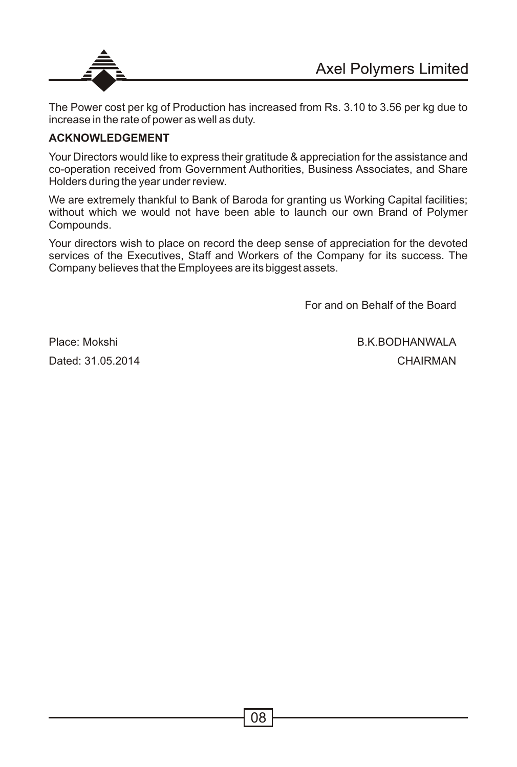

The Power cost per kg of Production has increased from Rs. 3.10 to 3.56 per kg due to increase in the rate of power as well as duty.

#### **ACKNOWLEDGEMENT**

Your Directors would like to express their gratitude & appreciation for the assistance and co-operation received from Government Authorities, Business Associates, and Share Holders during the year under review.

We are extremely thankful to Bank of Baroda for granting us Working Capital facilities; without which we would not have been able to launch our own Brand of Polymer Compounds.

Your directors wish to place on record the deep sense of appreciation for the devoted services of the Executives, Staff and Workers of the Company for its success. The Company believes that the Employees are its biggest assets.

For and on Behalf of the Board

Place: Mokshi B.K.BODHANWALA Dated: 31.05.2014 CHAIRMAN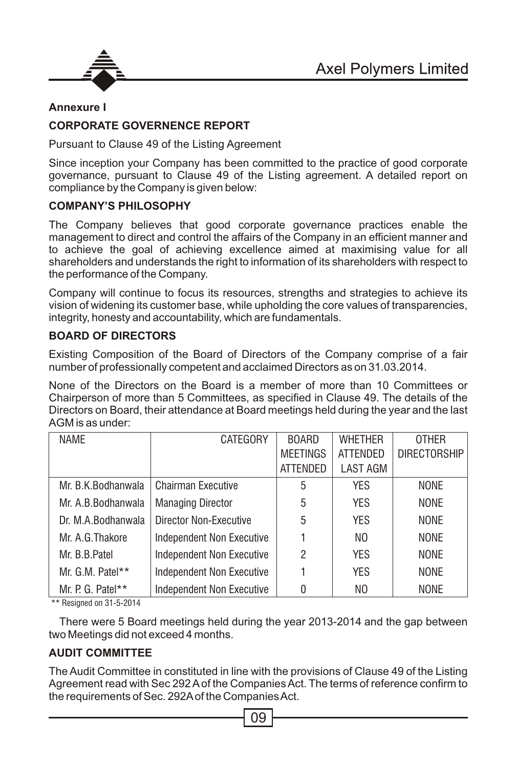

# **Annexure I**

# **CORPORATE GOVERNENCE REPORT**

Pursuant to Clause 49 of the Listing Agreement

Since inception your Company has been committed to the practice of good corporate governance, pursuant to Clause 49 of the Listing agreement. A detailed report on compliance by the Company is given below:

# **COMPANY'S PHILOSOPHY**

The Company believes that good corporate governance practices enable the management to direct and control the affairs of the Company in an efficient manner and to achieve the goal of achieving excellence aimed at maximising value for all shareholders and understands the right to information of its shareholders with respect to the performance of the Company.

Company will continue to focus its resources, strengths and strategies to achieve its vision of widening its customer base, while upholding the core values of transparencies, integrity, honesty and accountability, which are fundamentals.

# **BOARD OF DIRECTORS**

Existing Composition of the Board of Directors of the Company comprise of a fair number of professionally competent and acclaimed Directors as on 31.03.2014.

None of the Directors on the Board is a member of more than 10 Committees or Chairperson of more than 5 Committees, as specified in Clause 49. The details of the Directors on Board, their attendance at Board meetings held during the year and the last AGM is as under:

| <b>NAME</b>        | <b>CATEGORY</b>           | <b>BOARD</b>    | <b>WHFTHFR</b>  | <b>OTHER</b>        |
|--------------------|---------------------------|-----------------|-----------------|---------------------|
|                    |                           | <b>MEETINGS</b> | <b>ATTENDED</b> | <b>DIRECTORSHIP</b> |
|                    |                           | <b>ATTENDED</b> | LAST AGM        |                     |
| Mr. B.K.Bodhanwala | <b>Chairman Executive</b> | 5               | YES             | <b>NONE</b>         |
| Mr. A.B.Bodhanwala | <b>Managing Director</b>  | 5               | <b>YES</b>      | <b>NONE</b>         |
| Dr. M.A.Bodhanwala | Director Non-Executive    | 5               | <b>YES</b>      | <b>NONE</b>         |
| Mr. A.G. Thakore   | Independent Non Executive |                 | N <sub>0</sub>  | <b>NONE</b>         |
| Mr. B.B.Patel      | Independent Non Executive | 2               | <b>YES</b>      | <b>NONE</b>         |
| Mr. G.M. Patel**   | Independent Non Executive |                 | <b>YES</b>      | <b>NONE</b>         |
| Mr. P. G. Patel**  | Independent Non Executive |                 | N <sub>0</sub>  | <b>NONE</b>         |

\*\* Resigned on 31-5-2014

There were 5 Board meetings held during the year 2013-2014 and the gap between two Meetings did not exceed 4 months.

# **AUDIT COMMITTEE**

The Audit Committee in constituted in line with the provisions of Clause 49 of the Listing Agreement read with Sec 292 Aof the Companies Act. The terms of reference confirm to the requirements of Sec. 292Aof the Companies Act.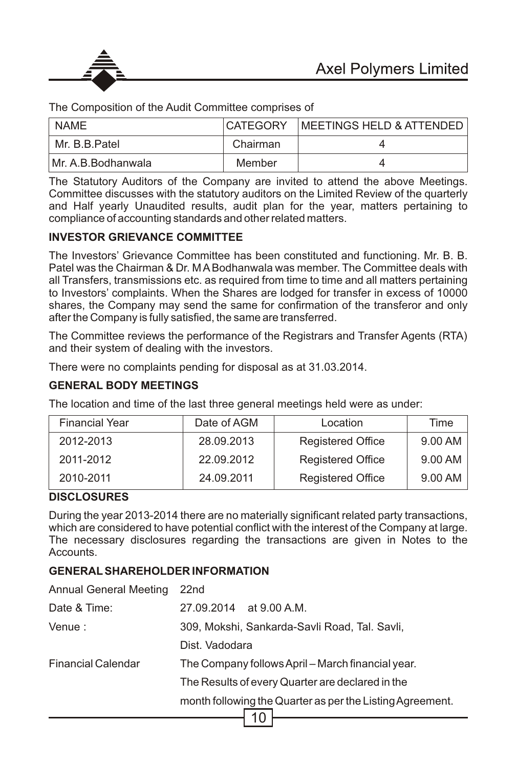

The Composition of the Audit Committee comprises of

| <b>NAMF</b>         | <b>CATEGORY</b> | <b>IMEETINGS HELD &amp; ATTENDED  </b> |
|---------------------|-----------------|----------------------------------------|
| Mr. B.B.Patel       | Chairman        |                                        |
| ⊺Mr. A.B.Bodhanwala | Member          |                                        |

The Statutory Auditors of the Company are invited to attend the above Meetings. Committee discusses with the statutory auditors on the Limited Review of the quarterly and Half yearly Unaudited results, audit plan for the year, matters pertaining to compliance of accounting standards and other related matters.

#### **INVESTOR GRIEVANCE COMMITTEE**

The Investors' Grievance Committee has been constituted and functioning. Mr. B. B. Patel was the Chairman & Dr. M ABodhanwala was member. The Committee deals with all Transfers, transmissions etc. as required from time to time and all matters pertaining to Investors' complaints. When the Shares are lodged for transfer in excess of 10000 shares, the Company may send the same for confirmation of the transferor and only after the Company is fully satisfied, the same are transferred.

The Committee reviews the performance of the Registrars and Transfer Agents (RTA) and their system of dealing with the investors.

There were no complaints pending for disposal as at 31.03.2014.

#### **GENERAL BODY MEETINGS**

The location and time of the last three general meetings held were as under:

| <b>Financial Year</b> | Date of AGM | Location                 | Time              |
|-----------------------|-------------|--------------------------|-------------------|
| 2012-2013             | 28.09.2013  | <b>Registered Office</b> | $9.00$ AM $\vert$ |
| 2011-2012             | 22.09.2012  | <b>Registered Office</b> | $9.00$ AM $\vert$ |
| 2010-2011             | 24.09.2011  | <b>Registered Office</b> | $9.00$ AM $\vert$ |

#### **DISCLOSURES**

During the year 2013-2014 there are no materially significant related party transactions, which are considered to have potential conflict with the interest of the Company at large. The necessary disclosures regarding the transactions are given in Notes to the Accounts.

#### **GENERALSHAREHOLDER INFORMATION**

| Annual General Meeting    | 22nd                                                      |
|---------------------------|-----------------------------------------------------------|
| Date & Time:              | at 9.00 A.M.<br>27.09.2014                                |
| Venue:                    | 309, Mokshi, Sankarda-Savli Road, Tal. Savli,             |
|                           | Dist. Vadodara                                            |
| <b>Financial Calendar</b> | The Company follows April – March financial year.         |
|                           | The Results of every Quarter are declared in the          |
|                           | month following the Quarter as per the Listing Agreement. |
|                           |                                                           |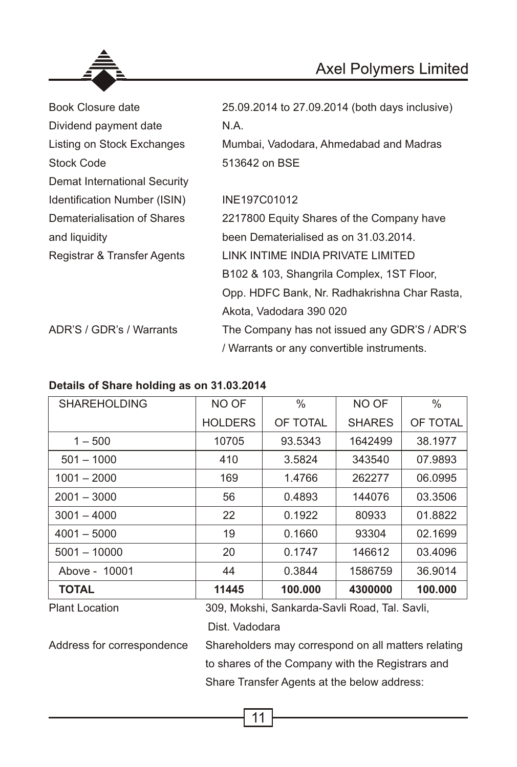



| Book Closure date            | 25.09.2014 to 27.09.2014 (both days inclusive) |
|------------------------------|------------------------------------------------|
| Dividend payment date        | N.A.                                           |
| Listing on Stock Exchanges   | Mumbai, Vadodara, Ahmedabad and Madras         |
| Stock Code                   | 513642 on BSE                                  |
| Demat International Security |                                                |
| Identification Number (ISIN) | INE197C01012                                   |
| Dematerialisation of Shares  | 2217800 Equity Shares of the Company have      |
| and liquidity                | been Dematerialised as on 31.03.2014.          |
| Registrar & Transfer Agents  | LINK INTIME INDIA PRIVATE LIMITED              |
|                              | B102 & 103, Shangrila Complex, 1ST Floor,      |
|                              | Opp. HDFC Bank, Nr. Radhakrishna Char Rasta,   |
|                              | Akota, Vadodara 390 020                        |
| ADR'S / GDR's / Warrants     | The Company has not issued any GDR'S / ADR'S   |
|                              | / Warrants or any convertible instruments.     |

#### **Details of Share holding as on 31.03.2014**

| SHAREHOLDING   | NO OF          | $\frac{0}{0}$ | NO OF         | $\frac{0}{0}$ |
|----------------|----------------|---------------|---------------|---------------|
|                | <b>HOLDERS</b> | OF TOTAL      | <b>SHARES</b> | OF TOTAL      |
| $1 - 500$      | 10705          | 93.5343       | 1642499       | 38.1977       |
| $501 - 1000$   | 410            | 3.5824        | 343540        | 07.9893       |
| $1001 - 2000$  | 169            | 1.4766        | 262277        | 06.0995       |
| $2001 - 3000$  | 56             | 0.4893        | 144076        | 03.3506       |
| $3001 - 4000$  | 22             | 0.1922        | 80933         | 01.8822       |
| $4001 - 5000$  | 19             | 0.1660        | 93304         | 02.1699       |
| $5001 - 10000$ | 20             | 0.1747        | 146612        | 03.4096       |
| Above - 10001  | 44             | 0.3844        | 1586759       | 36.9014       |
| <b>TOTAL</b>   | 11445          | 100.000       | 4300000       | 100.000       |

Plant Location

309, Mokshi, Sankarda-Savli Road, Tal. Savli,

Dist. Vadodara

Address for correspondence Shareholders may correspond on all matters relating to shares of the Company with the Registrars and Share Transfer Agents at the below address: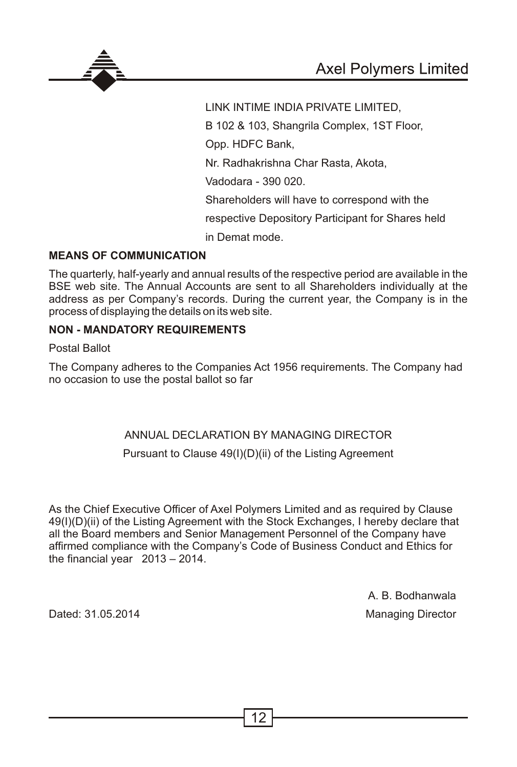



LINK INTIME INDIA PRIVATE LIMITED,

B 102 & 103, Shangrila Complex, 1ST Floor,

Opp. HDFC Bank,

Nr. Radhakrishna Char Rasta, Akota,

Vadodara - 390 020.

Shareholders will have to correspond with the

respective Depository Participant for Shares held

in Demat mode.

# **MEANS OF COMMUNICATION**

The quarterly, half-yearly and annual results of the respective period are available in the BSE web site. The Annual Accounts are sent to all Shareholders individually at the address as per Company's records. During the current year, the Company is in the process of displaying the details on its web site.

#### **NON - MANDATORY REQUIREMENTS**

Postal Ballot

The Company adheres to the Companies Act 1956 requirements. The Company had no occasion to use the postal ballot so far

# ANNUAL DECLARATION BY MANAGING DIRECTOR

#### Pursuant to Clause 49(I)(D)(ii) of the Listing Agreement

As the Chief Executive Officer of Axel Polymers Limited and as required by Clause 49(I)(D)(ii) of the Listing Agreement with the Stock Exchanges, I hereby declare that all the Board members and Senior Management Personnel of the Company have affirmed compliance with the Company's Code of Business Conduct and Ethics for the financial year 2013 – 2014.

A. B. Bodhanwala Dated: 31.05.2014 Managing Director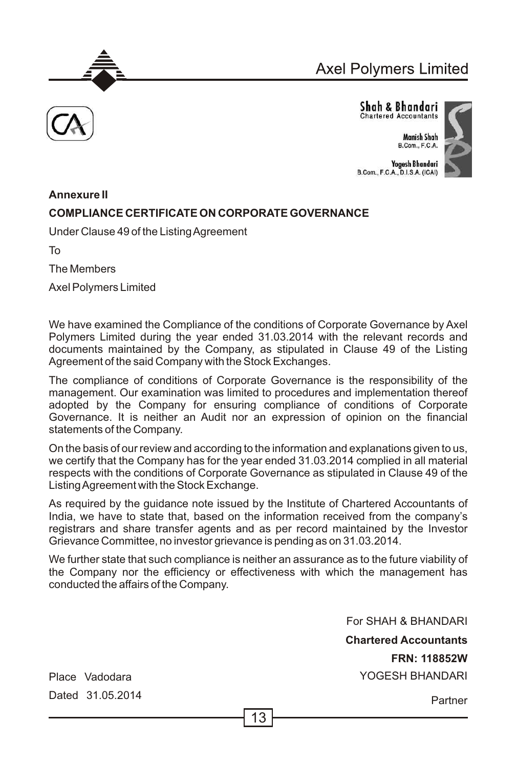**Axel Polymers Limited** 



Shah & Bhandari Chartered Accountants

#### **Manish Shah** B.Com., F.C.A.



**Yogesh Bhandari** B.Com., F.C.A., D.I.S.A. (ICAI)

#### **Annexure II**

# **COMPLIANCE CERTIFICATE ON CORPORATE GOVERNANCE**

Under Clause 49 of the Listing Agreement

To

The Members

Axel Polymers Limited

We have examined the Compliance of the conditions of Corporate Governance by Axel Polymers Limited during the year ended 31.03.2014 with the relevant records and documents maintained by the Company, as stipulated in Clause 49 of the Listing Agreement of the said Company with the Stock Exchanges.

The compliance of conditions of Corporate Governance is the responsibility of the management. Our examination was limited to procedures and implementation thereof adopted by the Company for ensuring compliance of conditions of Corporate Governance. It is neither an Audit nor an expression of opinion on the financial statements of the Company.

On the basis of our review and according to the information and explanations given to us, we certify that the Company has for the year ended 31.03.2014 complied in all material respects with the conditions of Corporate Governance as stipulated in Clause 49 of the Listing Agreement with the Stock Exchange.

As required by the guidance note issued by the Institute of Chartered Accountants of India, we have to state that, based on the information received from the company's registrars and share transfer agents and as per record maintained by the Investor Grievance Committee, no investor grievance is pending as on 31.03.2014.

We further state that such compliance is neither an assurance as to the future viability of the Company nor the efficiency or effectiveness with which the management has conducted the affairs of the Company.

> For SHAH & BHANDARI **Chartered Accountants FRN: 118852W** YOGESH BHANDARI

Place Vadodara Dated 31.05.2014

Partner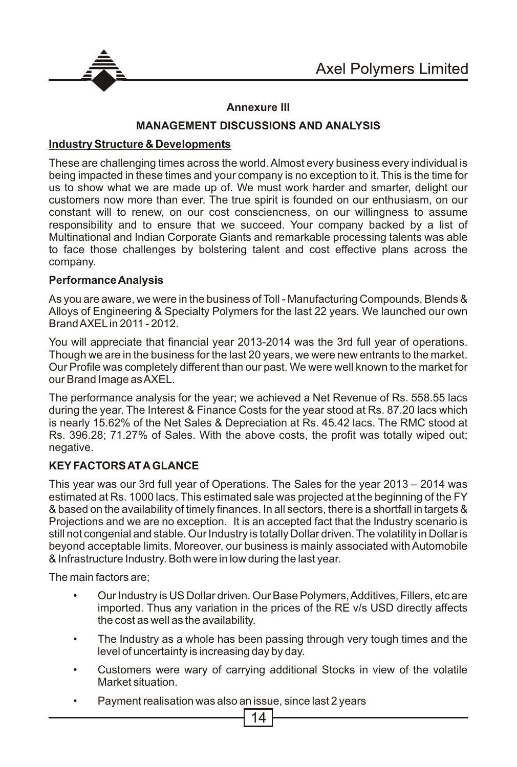

# **Annexure III**

## **MANAGEMENT DISCUSSIONS AND ANALYSIS**

#### **Industry Structure & Developments**

These are challenging times across the world. Almost every business every individual is being impacted in these times and your company is no exception to it. This is the time for us to show what we are made up of. We must work harder and smarter, delight our customers now more than ever. The true spirit is founded on our enthusiasm, on our constant will to renew, on our cost consciencness, on our willingness to assume responsibility and to ensure that we succeed. Your company backed by a list of Multinational and Indian Corporate Giants and remarkable processing talents was able to face those challenges by bolstering talent and cost effective plans across the company.

#### **Performance Analysis**

As you are aware, we were in the business of Toll - Manufacturing Compounds, Blends & Alloys of Engineering & Specialty Polymers for the last 22 years. We launched our own Brand AXELin 2011 - 2012.

You will appreciate that financial year 2013-2014 was the 3rd full year of operations. Though we are in the business for the last 20 years, we were new entrants to the market. Our Profile was completely different than our past. We were well known to the market for our Brand Image as AXEL.

The performance analysis for the year; we achieved a Net Revenue of Rs. 558.55 lacs during the year. The Interest & Finance Costs for the year stood at Rs. 87.20 lacs which is nearly 15.62% of the Net Sales & Depreciation at Rs. 45.42 lacs. The RMC stood at Rs. 396.28; 71.27% of Sales. With the above costs, the profit was totally wiped out; negative.

#### **KEYFACTORS AT AGLANCE**

This year was our 3rd full year of Operations. The Sales for the year 2013 – 2014 was estimated at Rs. 1000 lacs. This estimated sale was projected at the beginning of the FY & based on the availability of timely finances. In all sectors, there is a shortfall in targets & Projections and we are no exception. It is an accepted fact that the Industry scenario is still not congenial and stable. Our Industry is totally Dollar driven. The volatility in Dollar is beyond acceptable limits. Moreover, our business is mainly associated with Automobile & Infrastructure Industry. Both were in low during the last year.

The main factors are;

- Our Industry is US Dollar driven. Our Base Polymers, Additives, Fillers, etc are imported. Thus any variation in the prices of the RE v/s USD directly affects the cost as well as the availability.
- The Industry as a whole has been passing through very tough times and the level of uncertainty is increasing day by day.
- Customers were wary of carrying additional Stocks in view of the volatile Market situation.
- Payment realisation was also an issue, since last 2 years

14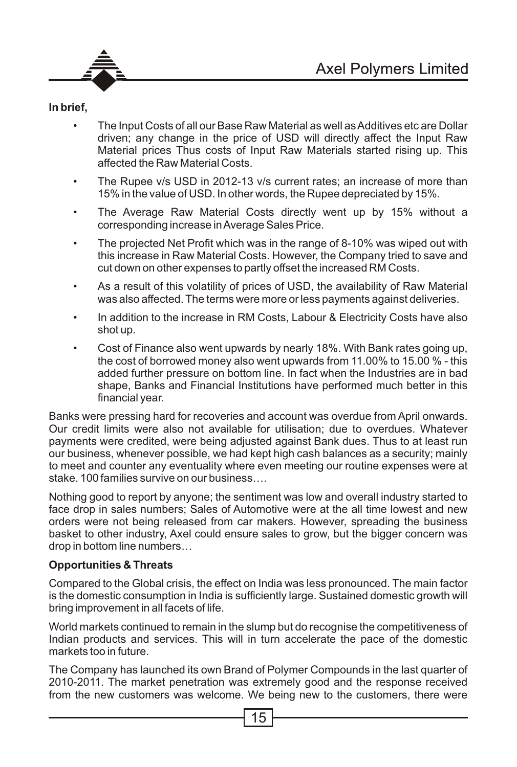

#### **In brief,**

- The Input Costs of all our Base Raw Material as well as Additives etc are Dollar driven; any change in the price of USD will directly affect the Input Raw Material prices Thus costs of Input Raw Materials started rising up. This affected the Raw Material Costs.
- The Rupee v/s USD in 2012-13 v/s current rates; an increase of more than 15% in the value of USD. In other words, the Rupee depreciated by 15%.
- The Average Raw Material Costs directly went up by 15% without a corresponding increase in Average Sales Price.
- The projected Net Profit which was in the range of 8-10% was wiped out with this increase in Raw Material Costs. However, the Company tried to save and cut down on other expenses to partly offset the increased RM Costs.
- As a result of this volatility of prices of USD, the availability of Raw Material was also affected. The terms were more or less payments against deliveries.
- In addition to the increase in RM Costs, Labour & Electricity Costs have also shot up.
- Cost of Finance also went upwards by nearly 18%. With Bank rates going up, the cost of borrowed money also went upwards from 11.00% to 15.00 % - this added further pressure on bottom line. In fact when the Industries are in bad shape, Banks and Financial Institutions have performed much better in this financial year.

Banks were pressing hard for recoveries and account was overdue from April onwards. Our credit limits were also not available for utilisation; due to overdues. Whatever payments were credited, were being adjusted against Bank dues. Thus to at least run our business, whenever possible, we had kept high cash balances as a security; mainly to meet and counter any eventuality where even meeting our routine expenses were at stake. 100 families survive on our business….

Nothing good to report by anyone; the sentiment was low and overall industry started to face drop in sales numbers; Sales of Automotive were at the all time lowest and new orders were not being released from car makers. However, spreading the business basket to other industry, Axel could ensure sales to grow, but the bigger concern was drop in bottom line numbers…

#### **Opportunities & Threats**

Compared to the Global crisis, the effect on India was less pronounced. The main factor is the domestic consumption in India is sufficiently large. Sustained domestic growth will bring improvement in all facets of life.

World markets continued to remain in the slump but do recognise the competitiveness of Indian products and services. This will in turn accelerate the pace of the domestic markets too in future.

The Company has launched its own Brand of Polymer Compounds in the last quarter of 2010-2011. The market penetration was extremely good and the response received from the new customers was welcome. We being new to the customers, there were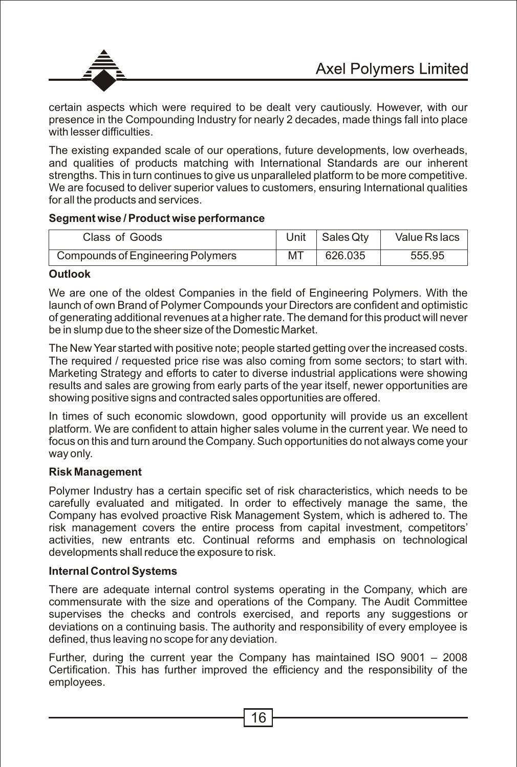

certain aspects which were required to be dealt very cautiously. However, with our presence in the Compounding Industry for nearly 2 decades, made things fall into place with lesser difficulties.

The existing expanded scale of our operations, future developments, low overheads, and qualities of products matching with International Standards are our inherent strengths. This in turn continues to give us unparalleled platform to be more competitive. We are focused to deliver superior values to customers, ensuring International qualities for all the products and services.

#### **Segment wise / Product wise performance**

| Class of Goods                    | Unit | Sales Qtv | Value Rs lacs |
|-----------------------------------|------|-----------|---------------|
| Compounds of Engineering Polymers |      | 626.035   | 555.95        |

#### **Outlook**

We are one of the oldest Companies in the field of Engineering Polymers. With the launch of own Brand of Polymer Compounds your Directors are confident and optimistic of generating additional revenues at a higher rate. The demand for this product will never be in slump due to the sheer size of the Domestic Market.

The New Year started with positive note; people started getting over the increased costs. The required / requested price rise was also coming from some sectors; to start with. Marketing Strategy and efforts to cater to diverse industrial applications were showing results and sales are growing from early parts of the year itself, newer opportunities are showing positive signs and contracted sales opportunities are offered.

In times of such economic slowdown, good opportunity will provide us an excellent platform. We are confident to attain higher sales volume in the current year. We need to focus on this and turn around the Company. Such opportunities do not always come your way only.

#### **Risk Management**

Polymer Industry has a certain specific set of risk characteristics, which needs to be carefully evaluated and mitigated. In order to effectively manage the same, the Company has evolved proactive Risk Management System, which is adhered to. The risk management covers the entire process from capital investment, competitors' activities, new entrants etc. Continual reforms and emphasis on technological developments shall reduce the exposure to risk.

#### **Internal Control Systems**

There are adequate internal control systems operating in the Company, which are commensurate with the size and operations of the Company. The Audit Committee supervises the checks and controls exercised, and reports any suggestions or deviations on a continuing basis. The authority and responsibility of every employee is defined, thus leaving no scope for any deviation.

Further, during the current year the Company has maintained ISO 9001 – 2008 Certification. This has further improved the efficiency and the responsibility of the employees.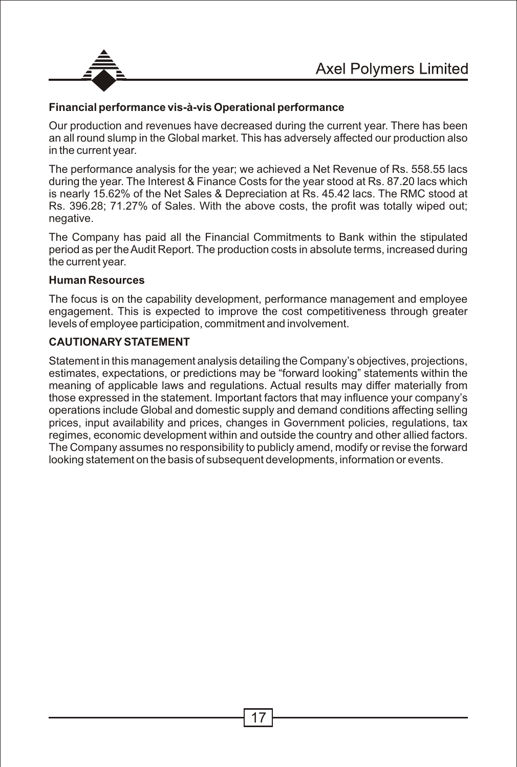

# **Financial performance vis-à-vis Operational performance**

Our production and revenues have decreased during the current year. There has been an all round slump in the Global market. This has adversely affected our production also in the current year.

The performance analysis for the year; we achieved a Net Revenue of Rs. 558.55 lacs during the year. The Interest & Finance Costs for the year stood at Rs. 87.20 lacs which is nearly 15.62% of the Net Sales & Depreciation at Rs. 45.42 lacs. The RMC stood at Rs. 396.28; 71.27% of Sales. With the above costs, the profit was totally wiped out; negative.

The Company has paid all the Financial Commitments to Bank within the stipulated period as per the Audit Report. The production costs in absolute terms, increased during the current year.

#### **Human Resources**

The focus is on the capability development, performance management and employee engagement. This is expected to improve the cost competitiveness through greater levels of employee participation, commitment and involvement.

# **CAUTIONARYSTATEMENT**

Statement in this management analysis detailing the Company's objectives, projections, estimates, expectations, or predictions may be "forward looking" statements within the meaning of applicable laws and regulations. Actual results may differ materially from those expressed in the statement. Important factors that may influence your company's operations include Global and domestic supply and demand conditions affecting selling prices, input availability and prices, changes in Government policies, regulations, tax regimes, economic development within and outside the country and other allied factors. The Company assumes no responsibility to publicly amend, modify or revise the forward looking statement on the basis of subsequent developments, information or events.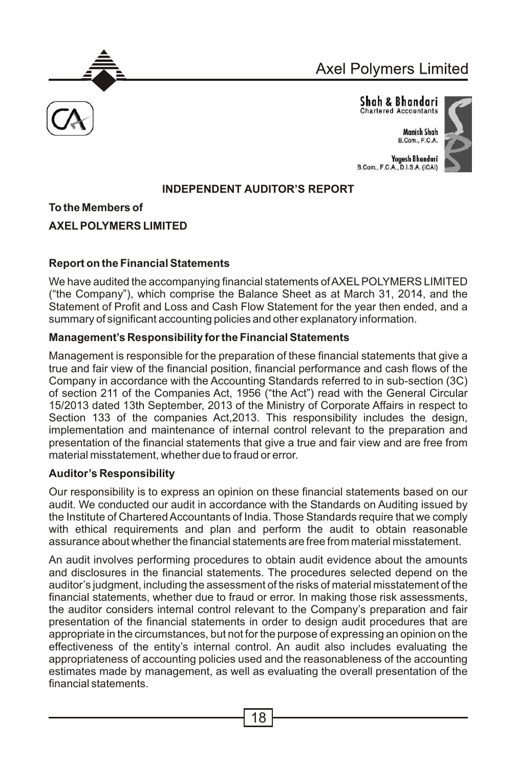# **Axel Polymers Limited**

Shah & Bhandari **Chartered Accountants** 

#### Manish Shah B.Com., F.C.A.



# B.Com., F.C.A., D.I.S.A. (ICAI) **INDEPENDENT AUDITOR'S REPORT**

# **To the Members of**

**AXELPOLYMERS LIMITED**

# **Report on the Financial Statements**

We have audited the accompanying financial statements of AXELPOLYMERS LIMITED ("the Company"), which comprise the Balance Sheet as at March 31, 2014, and the Statement of Profit and Loss and Cash Flow Statement for the year then ended, and a summary of significant accounting policies and other explanatory information.

# **Management's Responsibility for the Financial Statements**

Management is responsible for the preparation of these financial statements that give a true and fair view of the financial position, financial performance and cash flows of the Company in accordance with the Accounting Standards referred to in sub-section (3C) of section 211 of the Companies Act, 1956 ("the Act") read with the General Circular 15/2013 dated 13th September, 2013 of the Ministry of Corporate Affairs in respect to Section 133 of the companies Act,2013. This responsibility includes the design, implementation and maintenance of internal control relevant to the preparation and presentation of the financial statements that give a true and fair view and are free from material misstatement, whether due to fraud or error.

# **Auditor's Responsibility**

Our responsibility is to express an opinion on these financial statements based on our audit. We conducted our audit in accordance with the Standards on Auditing issued by the Institute of Chartered Accountants of India. Those Standards require that we comply with ethical requirements and plan and perform the audit to obtain reasonable assurance about whether the financial statements are free from material misstatement.

An audit involves performing procedures to obtain audit evidence about the amounts and disclosures in the financial statements. The procedures selected depend on the auditor's judgment, including the assessment of the risks of material misstatement of the financial statements, whether due to fraud or error. In making those risk assessments, the auditor considers internal control relevant to the Company's preparation and fair presentation of the financial statements in order to design audit procedures that are appropriate in the circumstances, but not for the purpose of expressing an opinion on the effectiveness of the entity's internal control. An audit also includes evaluating the appropriateness of accounting policies used and the reasonableness of the accounting estimates made by management, as well as evaluating the overall presentation of the financial statements.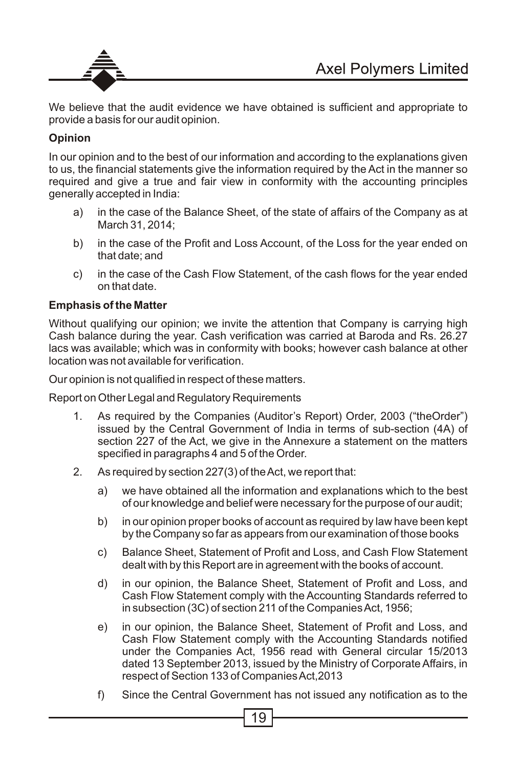

We believe that the audit evidence we have obtained is sufficient and appropriate to provide a basis for our audit opinion.

## **Opinion**

In our opinion and to the best of our information and according to the explanations given to us, the financial statements give the information required by the Act in the manner so required and give a true and fair view in conformity with the accounting principles generally accepted in India:

- a) in the case of the Balance Sheet, of the state of affairs of the Company as at March 31, 2014;
- b) in the case of the Profit and Loss Account, of the Loss for the year ended on that date; and
- c) in the case of the Cash Flow Statement, of the cash flows for the year ended on that date.

## **Emphasis of the Matter**

Without qualifying our opinion; we invite the attention that Company is carrying high Cash balance during the year. Cash verification was carried at Baroda and Rs. 26.27 lacs was available; which was in conformity with books; however cash balance at other location was not available for verification.

Our opinion is not qualified in respect of these matters.

Report on Other Legal and Regulatory Requirements

- 1. As required by the Companies (Auditor's Report) Order, 2003 ("theOrder") issued by the Central Government of India in terms of sub-section (4A) of section 227 of the Act, we give in the Annexure a statement on the matters specified in paragraphs 4 and 5 of the Order.
- 2. As required by section 227(3) of the Act, we report that:
	- a) we have obtained all the information and explanations which to the best of our knowledge and belief were necessary for the purpose of our audit;
	- b) in our opinion proper books of account as required by law have been kept by the Company so far as appears from our examination of those books
	- c) Balance Sheet, Statement of Profit and Loss, and Cash Flow Statement dealt with by this Report are in agreement with the books of account.
	- d) in our opinion, the Balance Sheet, Statement of Profit and Loss, and Cash Flow Statement comply with the Accounting Standards referred to in subsection (3C) of section 211 of the Companies Act, 1956;
	- e) in our opinion, the Balance Sheet, Statement of Profit and Loss, and Cash Flow Statement comply with the Accounting Standards notified under the Companies Act, 1956 read with General circular 15/2013 dated 13 September 2013, issued by the Ministry of Corporate Affairs, in respect of Section 133 of Companies Act,2013
	- f) Since the Central Government has not issued any notification as to the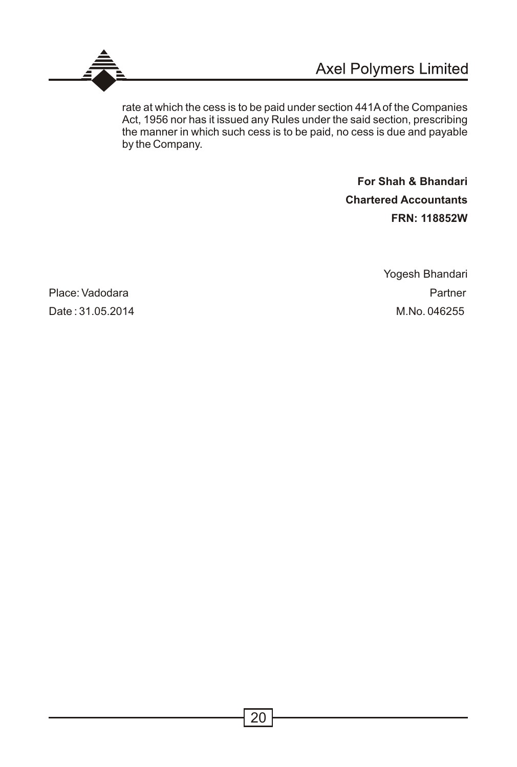

rate at which the cess is to be paid under section 441Aof the Companies Act, 1956 nor has it issued any Rules under the said section, prescribing the manner in which such cess is to be paid, no cess is due and payable by the Company.

> **For Shah & Bhandari Chartered Accountants FRN: 118852W**

> > Yogesh Bhandari

Place: Vadodara Partner Partner Partner Partner Partner Partner Date : 31.05.2014 M.No. 046255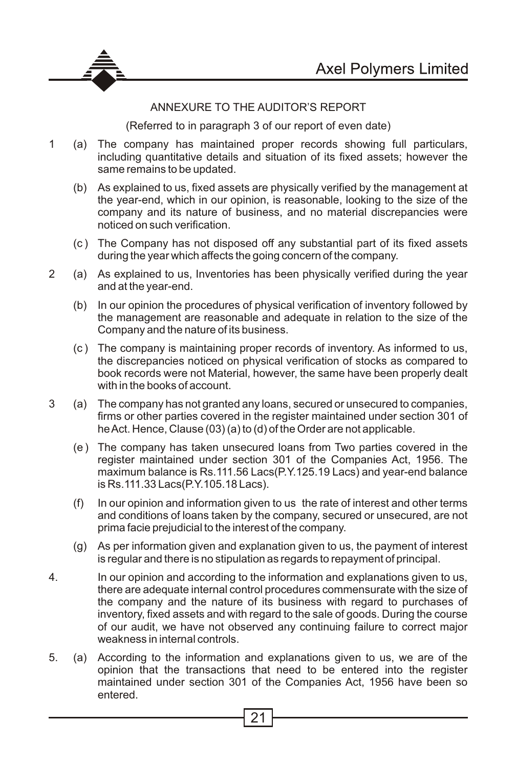

ANNEXURE TO THE AUDITOR'S REPORT

(Referred to in paragraph 3 of our report of even date)

- 1 (a) The company has maintained proper records showing full particulars, including quantitative details and situation of its fixed assets; however the same remains to be updated.
	- (b) As explained to us, fixed assets are physically verified by the management at the year-end, which in our opinion, is reasonable, looking to the size of the company and its nature of business, and no material discrepancies were noticed on such verification.
	- (c ) The Company has not disposed off any substantial part of its fixed assets during the year which affects the going concern of the company.
- 2 (a) As explained to us, Inventories has been physically verified during the year and at the year-end.
	- (b) In our opinion the procedures of physical verification of inventory followed by the management are reasonable and adequate in relation to the size of the Company and the nature of its business.
	- (c ) The company is maintaining proper records of inventory. As informed to us, the discrepancies noticed on physical verification of stocks as compared to book records were not Material, however, the same have been properly dealt with in the books of account.
- 3 (a) The company has not granted any loans, secured or unsecured to companies, firms or other parties covered in the register maintained under section 301 of he Act. Hence, Clause (03) (a) to (d) of the Order are not applicable.
	- (e ) The company has taken unsecured loans from Two parties covered in the register maintained under section 301 of the Companies Act, 1956. The maximum balance is Rs.111.56 Lacs(P.Y.125.19 Lacs) and year-end balance is Rs.111.33 Lacs(P.Y.105.18 Lacs).
	- (f) In our opinion and information given to us the rate of interest and other terms and conditions of loans taken by the company, secured or unsecured, are not prima facie prejudicial to the interest of the company.
	- (g) As per information given and explanation given to us, the payment of interest is regular and there is no stipulation as regards to repayment of principal.
- 4. In our opinion and according to the information and explanations given to us, there are adequate internal control procedures commensurate with the size of the company and the nature of its business with regard to purchases of inventory, fixed assets and with regard to the sale of goods. During the course of our audit, we have not observed any continuing failure to correct major weakness in internal controls.
- 5. (a) According to the information and explanations given to us, we are of the opinion that the transactions that need to be entered into the register maintained under section 301 of the Companies Act, 1956 have been so entered.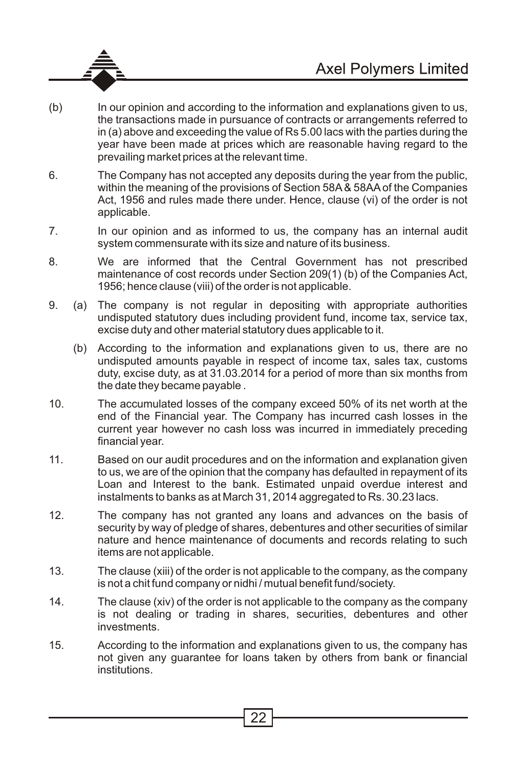

- (b) In our opinion and according to the information and explanations given to us, the transactions made in pursuance of contracts or arrangements referred to in (a) above and exceeding the value of Rs 5.00 lacs with the parties during the year have been made at prices which are reasonable having regard to the prevailing market prices at the relevant time.
- 6. The Company has not accepted any deposits during the year from the public, within the meaning of the provisions of Section 58A& 58AAof the Companies Act, 1956 and rules made there under. Hence, clause (vi) of the order is not applicable.
- 7. In our opinion and as informed to us, the company has an internal audit system commensurate with its size and nature of its business.
- 8. We are informed that the Central Government has not prescribed maintenance of cost records under Section 209(1) (b) of the Companies Act, 1956; hence clause (viii) of the order is not applicable.
- 9. (a) The company is not regular in depositing with appropriate authorities undisputed statutory dues including provident fund, income tax, service tax, excise duty and other material statutory dues applicable to it.
	- (b) According to the information and explanations given to us, there are no undisputed amounts payable in respect of income tax, sales tax, customs duty, excise duty, as at 31.03.2014 for a period of more than six months from the date they became payable .
- 10. The accumulated losses of the company exceed 50% of its net worth at the end of the Financial year. The Company has incurred cash losses in the current year however no cash loss was incurred in immediately preceding financial year.
- 11. Based on our audit procedures and on the information and explanation given to us, we are of the opinion that the company has defaulted in repayment of its Loan and Interest to the bank. Estimated unpaid overdue interest and instalments to banks as at March 31, 2014 aggregated to Rs. 30.23 lacs.
- 12. The company has not granted any loans and advances on the basis of security by way of pledge of shares, debentures and other securities of similar nature and hence maintenance of documents and records relating to such items are not applicable.
- 13. The clause (xiii) of the order is not applicable to the company, as the company is not a chit fund company or nidhi / mutual benefit fund/society.
- 14. The clause (xiv) of the order is not applicable to the company as the company is not dealing or trading in shares, securities, debentures and other investments.
- 15. According to the information and explanations given to us, the company has not given any guarantee for loans taken by others from bank or financial institutions.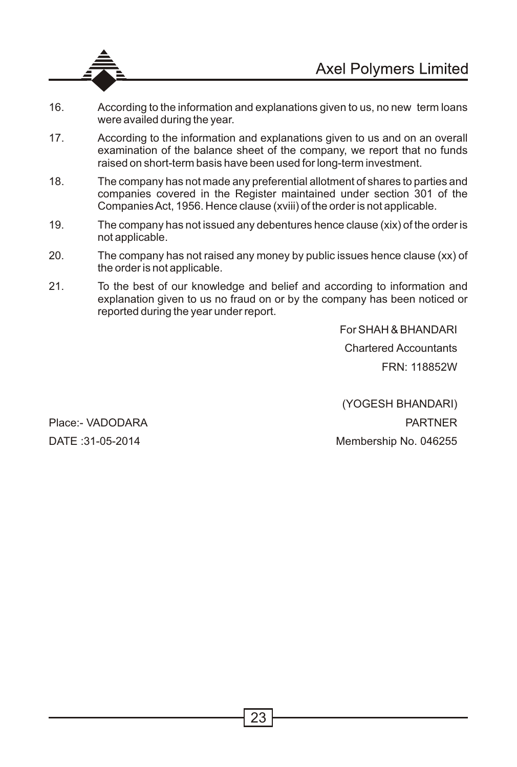

- 16. According to the information and explanations given to us, no new term loans were availed during the year.
- 17. According to the information and explanations given to us and on an overall examination of the balance sheet of the company, we report that no funds raised on short-term basis have been used for long-term investment.
- 18. The company has not made any preferential allotment of shares to parties and companies covered in the Register maintained under section 301 of the Companies Act, 1956. Hence clause (xviii) of the order is not applicable.
- 19. The company has not issued any debentures hence clause (xix) of the order is not applicable.
- 20. The company has not raised any money by public issues hence clause (xx) of the order is not applicable.
- 21. To the best of our knowledge and belief and according to information and explanation given to us no fraud on or by the company has been noticed or reported during the year under report.

For SHAH & BHANDARI Chartered Accountants FRN: 118852W

(YOGESH BHANDARI) Place:- VADODARA PARTNER DATE :31-05-2014 Membership No. 046255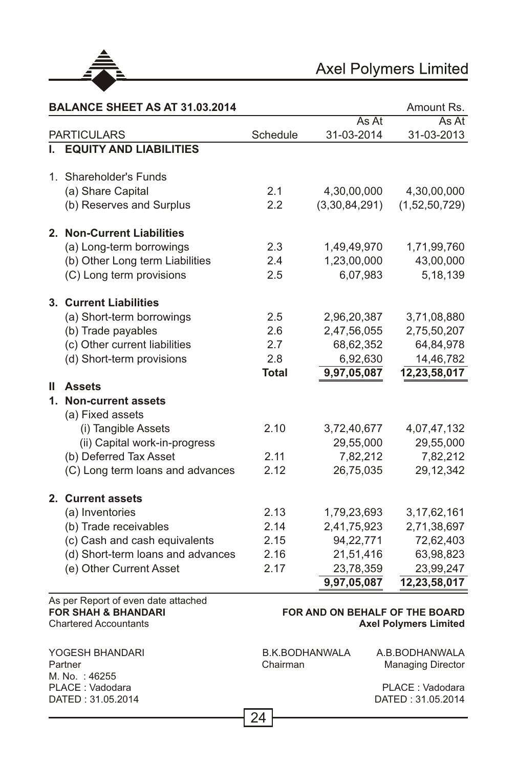

|    | <b>BALANCE SHEET AS AT 31.03.2014</b> |              |               | Amount Rs.     |
|----|---------------------------------------|--------------|---------------|----------------|
|    |                                       |              | As At         | As At          |
|    | <b>PARTICULARS</b>                    | Schedule     | 31-03-2014    | 31-03-2013     |
| L. | <b>EQUITY AND LIABILITIES</b>         |              |               |                |
|    | 1. Shareholder's Funds                |              |               |                |
|    | (a) Share Capital                     | 2.1          | 4,30,00,000   | 4,30,00,000    |
|    | (b) Reserves and Surplus              | 2.2          | (3,30,84,291) | (1,52,50,729)  |
|    | 2. Non-Current Liabilities            |              |               |                |
|    | (a) Long-term borrowings              | 2.3          | 1,49,49,970   | 1,71,99,760    |
|    | (b) Other Long term Liabilities       | 2.4          | 1,23,00,000   | 43,00,000      |
|    | (C) Long term provisions              | 2.5          | 6,07,983      | 5,18,139       |
|    | 3. Current Liabilities                |              |               |                |
|    | (a) Short-term borrowings             | 2.5          | 2,96,20,387   | 3,71,08,880    |
|    | (b) Trade payables                    | 2.6          | 2,47,56,055   | 2,75,50,207    |
|    | (c) Other current liabilities         | 2.7          | 68,62,352     | 64,84,978      |
|    | (d) Short-term provisions             | 2.8          | 6,92,630      | 14,46,782      |
|    |                                       | <b>Total</b> | 9,97,05,087   | 12,23,58,017   |
| Ш. | <b>Assets</b>                         |              |               |                |
|    | 1. Non-current assets                 |              |               |                |
|    | (a) Fixed assets                      |              |               |                |
|    | (i) Tangible Assets                   | 2.10         | 3,72,40,677   | 4,07,47,132    |
|    | (ii) Capital work-in-progress         |              | 29,55,000     | 29,55,000      |
|    | (b) Deferred Tax Asset                | 2.11         | 7,82,212      | 7,82,212       |
|    | (C) Long term loans and advances      | 2.12         | 26,75,035     | 29, 12, 342    |
|    | 2. Current assets                     |              |               |                |
|    | (a) Inventories                       | 2.13         | 1,79,23,693   | 3, 17, 62, 161 |
|    | (b) Trade receivables                 | 2.14         | 2,41,75,923   | 2,71,38,697    |
|    | (c) Cash and cash equivalents         | 2.15         | 94,22,771     | 72,62,403      |
|    | (d) Short-term loans and advances     | 2.16         | 21,51,416     | 63,98,823      |
|    | (e) Other Current Asset               | 2.17         | 23,78,359     | 23,99,247      |
|    |                                       |              | 9,97,05,087   | 12,23,58,017   |
|    | As per Report of even date attached   |              |               |                |

M. No. : 46255 PLACE : Vadodara PLACE : Vadodara

**FOR SHAH & BHANDARI FOR AND ON BEHALF OF THE BOARD** Chartered Accountants **Axel Polymers Limited**

YOGESH BHANDARI B.K.BODHANWALA A.B.BODHANWALA Partner **Managing Director** Chairman Managing Director

DATED: 31.05.2014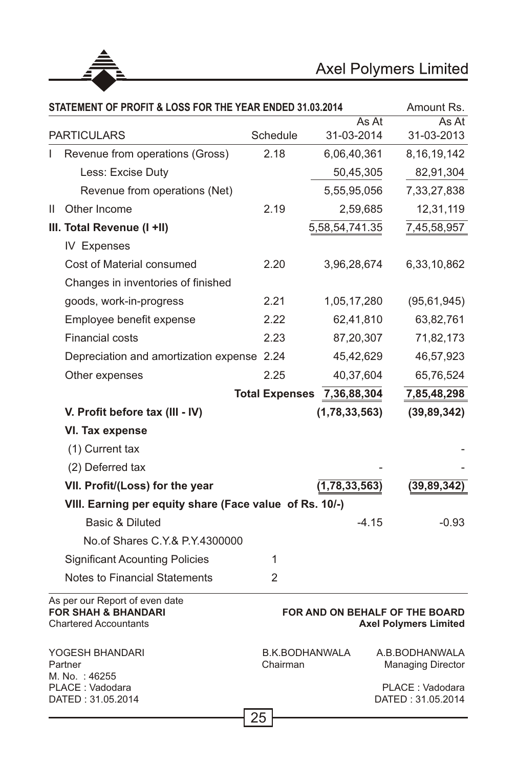

# Axel Polymers Limited

|   | STATEMENT OF PROFIT & LOSS FOR THE YEAR ENDED 31.03.2014                                         |                       |                       |         | Amount Rs.                                                     |
|---|--------------------------------------------------------------------------------------------------|-----------------------|-----------------------|---------|----------------------------------------------------------------|
|   | <b>PARTICULARS</b>                                                                               | Schedule              | 31-03-2014            | As At   | As At<br>31-03-2013                                            |
|   |                                                                                                  | 2.18                  |                       |         |                                                                |
| I | Revenue from operations (Gross)                                                                  |                       | 6,06,40,361           |         | 8, 16, 19, 142                                                 |
|   | Less: Excise Duty                                                                                |                       | 50,45,305             |         | 82,91,304                                                      |
|   | Revenue from operations (Net)                                                                    |                       | 5,55,95,056           |         | 7,33,27,838                                                    |
| Ш | Other Income                                                                                     | 2.19                  | 2,59,685              |         | 12,31,119                                                      |
|   | III. Total Revenue (I +II)                                                                       |                       | 5,58,54,741.35        |         | 7,45,58,957                                                    |
|   | <b>IV Expenses</b>                                                                               |                       |                       |         |                                                                |
|   | Cost of Material consumed                                                                        | 2.20                  | 3,96,28,674           |         | 6,33,10,862                                                    |
|   | Changes in inventories of finished                                                               |                       |                       |         |                                                                |
|   | goods, work-in-progress                                                                          | 2.21                  | 1,05,17,280           |         | (95, 61, 945)                                                  |
|   | Employee benefit expense                                                                         | 2.22                  | 62,41,810             |         | 63,82,761                                                      |
|   | <b>Financial costs</b>                                                                           | 2.23                  | 87,20,307             |         | 71,82,173                                                      |
|   | Depreciation and amortization expense 2.24                                                       |                       | 45,42,629             |         | 46,57,923                                                      |
|   | Other expenses                                                                                   | 2.25                  | 40,37,604             |         | 65,76,524                                                      |
|   |                                                                                                  | <b>Total Expenses</b> | 7,36,88,304           |         | 7,85,48,298                                                    |
|   | V. Profit before tax (III - IV)                                                                  |                       | (1,78,33,563)         |         | (39, 89, 342)                                                  |
|   | <b>VI. Tax expense</b>                                                                           |                       |                       |         |                                                                |
|   | (1) Current tax                                                                                  |                       |                       |         |                                                                |
|   | (2) Deferred tax                                                                                 |                       |                       |         |                                                                |
|   | VII. Profit/(Loss) for the year                                                                  |                       | (1, 78, 33, 563)      |         | (39, 89, 342)                                                  |
|   | VIII. Earning per equity share (Face value of Rs. 10/-)                                          |                       |                       |         |                                                                |
|   | Basic & Diluted                                                                                  |                       |                       | $-4.15$ | $-0.93$                                                        |
|   | No.of Shares C.Y.& P.Y.4300000                                                                   |                       |                       |         |                                                                |
|   | <b>Significant Acounting Policies</b>                                                            | 1                     |                       |         |                                                                |
|   | <b>Notes to Financial Statements</b>                                                             | 2                     |                       |         |                                                                |
|   | As per our Report of even date<br><b>FOR SHAH &amp; BHANDARI</b><br><b>Chartered Accountants</b> |                       |                       |         | FOR AND ON BEHALF OF THE BOARD<br><b>Axel Polymers Limited</b> |
|   | YOGESH BHANDARI<br>Partner<br>M. No. : 46255                                                     | Chairman              | <b>B.K.BODHANWALA</b> |         | A.B.BODHANWALA<br><b>Managing Director</b>                     |
|   | PLACE: Vadodara<br>DATED: 31.05.2014                                                             | 25                    |                       |         | PLACE: Vadodara<br>DATED: 31.05.2014                           |
|   |                                                                                                  |                       |                       |         |                                                                |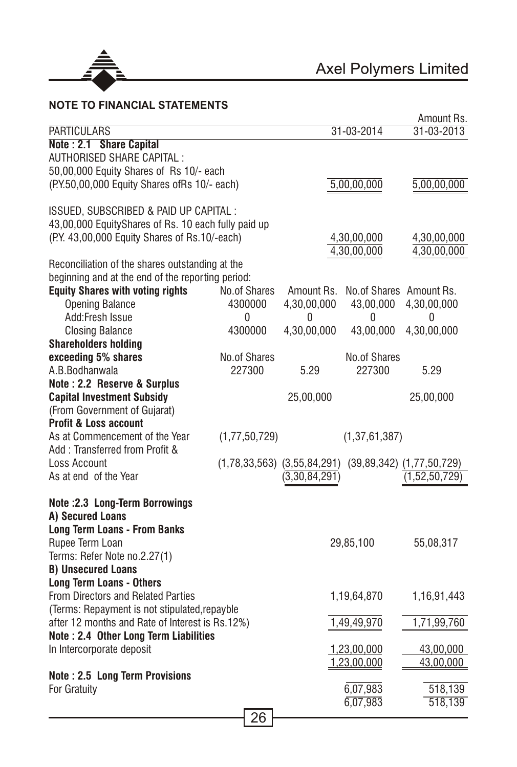

# **NOTE TO FINANCIAL STATEMENTS**

|                                                                                                      |               |                  |                                                               | Amount Rs.                 |
|------------------------------------------------------------------------------------------------------|---------------|------------------|---------------------------------------------------------------|----------------------------|
| <b>PARTICULARS</b>                                                                                   |               |                  | 31-03-2014                                                    | 31-03-2013                 |
| Note: 2.1 Share Capital                                                                              |               |                  |                                                               |                            |
| AUTHORISED SHARE CAPITAL :                                                                           |               |                  |                                                               |                            |
| 50,00,000 Equity Shares of Rs 10/- each                                                              |               |                  |                                                               |                            |
| (P.Y.50,00,000 Equity Shares ofRs 10/- each)                                                         |               |                  | 5,00,00,000                                                   | 5,00,00,000                |
|                                                                                                      |               |                  |                                                               |                            |
| ISSUED, SUBSCRIBED & PAID UP CAPITAL :                                                               |               |                  |                                                               |                            |
| 43,00,000 EquityShares of Rs. 10 each fully paid up<br>(P.Y. 43,00,000 Equity Shares of Rs.10/-each) |               |                  |                                                               |                            |
|                                                                                                      |               |                  | 4,30,00,000<br>4,30,00,000                                    | 4,30,00,000<br>4,30,00,000 |
| Reconciliation of the shares outstanding at the                                                      |               |                  |                                                               |                            |
| beginning and at the end of the reporting period:                                                    |               |                  |                                                               |                            |
| <b>Equity Shares with voting rights</b>                                                              | No.of Shares  |                  | Amount Rs. No. of Shares Amount Rs.                           |                            |
| <b>Opening Balance</b>                                                                               | 4300000       | 4,30,00,000      | 43,00,000                                                     | 4,30,00,000                |
| Add:Fresh Issue                                                                                      | 0             | 0                | 0                                                             | 0                          |
| <b>Closing Balance</b>                                                                               | 4300000       | 4,30,00,000      | 43,00,000                                                     | 4,30,00,000                |
| <b>Shareholders holding</b>                                                                          |               |                  |                                                               |                            |
| exceeding 5% shares                                                                                  | No.of Shares  |                  | No.of Shares                                                  |                            |
| A.B.Bodhanwala                                                                                       | 227300        | 5.29             | 227300                                                        | 5.29                       |
| Note: 2.2 Reserve & Surplus                                                                          |               |                  |                                                               |                            |
| <b>Capital Investment Subsidy</b>                                                                    |               | 25,00,000        |                                                               | 25,00,000                  |
| (From Government of Gujarat)                                                                         |               |                  |                                                               |                            |
| <b>Profit &amp; Loss account</b>                                                                     |               |                  |                                                               |                            |
| As at Commencement of the Year                                                                       | (1,77,50,729) |                  | (1, 37, 61, 387)                                              |                            |
| Add: Transferred from Profit &                                                                       |               |                  |                                                               |                            |
| Loss Account                                                                                         |               |                  | $(1,78,33,563)$ $(3,55,84,291)$ $(39,89,342)$ $(1,77,50,729)$ |                            |
| As at end of the Year                                                                                |               | (3, 30, 84, 291) |                                                               | (1,52,50,729)              |
|                                                                                                      |               |                  |                                                               |                            |
| Note: 2.3 Long-Term Borrowings<br>A) Secured Loans                                                   |               |                  |                                                               |                            |
| <b>Long Term Loans - From Banks</b>                                                                  |               |                  |                                                               |                            |
| Rupee Term Loan                                                                                      |               |                  | 29,85,100                                                     | 55,08,317                  |
| Terms: Refer Note no.2.27(1)                                                                         |               |                  |                                                               |                            |
| <b>B) Unsecured Loans</b>                                                                            |               |                  |                                                               |                            |
| <b>Long Term Loans - Others</b>                                                                      |               |                  |                                                               |                            |
| From Directors and Related Parties                                                                   |               |                  | 1,19,64,870                                                   | 1,16,91,443                |
| (Terms: Repayment is not stipulated, repayble                                                        |               |                  |                                                               |                            |
| after 12 months and Rate of Interest is Rs.12%)                                                      |               |                  | 1,49,49,970                                                   | 1,71,99,760                |
| Note: 2.4 Other Long Term Liabilities                                                                |               |                  |                                                               |                            |
| In Intercorporate deposit                                                                            |               |                  | 1,23,00,000                                                   | 43,00,000                  |
|                                                                                                      |               |                  | 1,23,00,000                                                   | 43,00,000                  |
| Note: 2.5 Long Term Provisions                                                                       |               |                  |                                                               |                            |
| For Gratuity                                                                                         |               |                  | 6,07,983                                                      | 518,139                    |
|                                                                                                      |               |                  | 6,07,983                                                      | 518,139                    |
|                                                                                                      | ا مہ ا        |                  |                                                               |                            |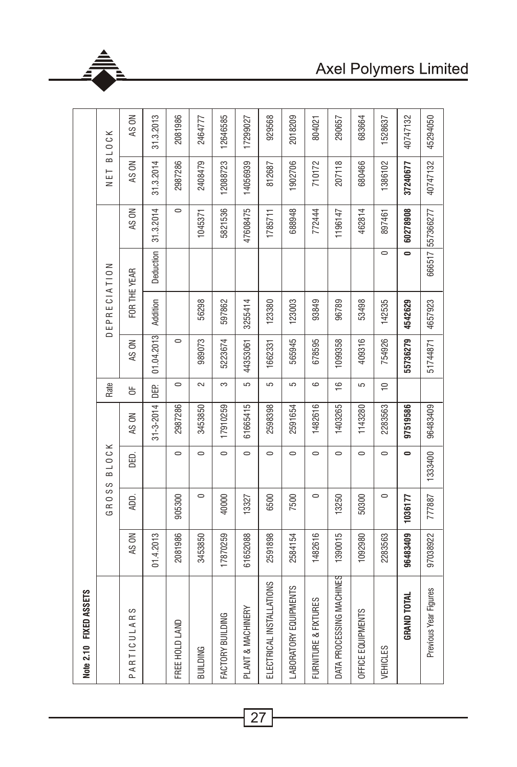| Note 2.10 FIXED ASSETS   |           |         |           |                 |               |            |                     |           |                  |           |           |
|--------------------------|-----------|---------|-----------|-----------------|---------------|------------|---------------------|-----------|------------------|-----------|-----------|
|                          |           | GR0SS   | BLOCK     |                 | Rate          |            | <b>DEPRECIATION</b> |           |                  | NET BLOCK |           |
| ပာ<br>PARTICULAR         | AS ON     | ADD.    | DED.      | AS ON           | 齿             | AS ON      | FOR THE YEAR        |           | AS ON            | AS ON     | AS ON     |
|                          | 01.4.2013 |         |           | $31 - 3 - 2014$ | DEP.          | 01.04.2013 | Addition            | Deduction | 31.3.2014        | 31.3.2014 | 31.3.2013 |
| FREE HOLD LAND           | 2081986   | 905300  | $\circ$   | 2987286         | $\circ$       | $\circ$    |                     |           | $\circ$          | 2987286   | 2081986   |
| BUILDING                 | 3453850   | $\circ$ | $\circ$   | 3453850         | $\sim$        | 989073     | 56298               |           | 1045371          | 2408479   | 2464777   |
| FACTORY BUILDING         | 17870259  | 40000   | $\circ$   | 17910259        | က             | 5223674    | 597862              |           | 5821536          | 12088723  | 12646585  |
| PLANT & MACHINERY        | 61652088  | 13327   | $\circ$   | 61665415        | LO.           | 44353061   | 3255414             |           | 47608475         | 14056939  | 17299027  |
| ELECTRICAL INSTALLATIONS | 2591898   | 6500    | $\circ$   | 2598398         | Б             | 1662331    | 123380              |           | 1785711          | 812687    | 929568    |
| LABORATORY EQUIPMENTS    | 2584154   | 7500    | $\circ$   | 2591654         | 5             | 565945     | 123003              |           | 688948           | 1902706   | 2018209   |
| FURNITURE & FIXTURES     | 1482616   | 0       | $\circ$   | 1482616         | 6             | 678595     | 93849               |           | 772444           | 710172    | 804021    |
| DATA PROCESSING MACHINES | 390015    | 13250   | $\circ$   | 1403265         | $\frac{6}{1}$ | 1099358    | 96789               |           | 1196147          | 207118    | 290657    |
| OFFICE EQUIPMENTS        | 1092980   | 50300   | $\circ$   | 1143280         | 5             | 409316     | 53498               |           | 462814           | 680466    | 683664    |
| VEHICLES                 | 2283563   | $\circ$ | $\circ$   | 2283563         | $\frac{1}{2}$ | 754926     | 142535              | $\circ$   | 897461           | 1386102   | 1528637   |
| <b>GRAND TOTAL</b>       | 96483409  | 1036177 | $\bullet$ | 97519586        |               | 55736279   | 4542629             | 0         | 60278908         | 37240677  | 40747132  |
| Previous Year Figures    | 97038922  | 77887   | 1333400   | 96483409        |               | 51744871   | 4657923             |           | 666517 557366277 | 40747132  | 45294050  |

# Axel Polymers Limited

27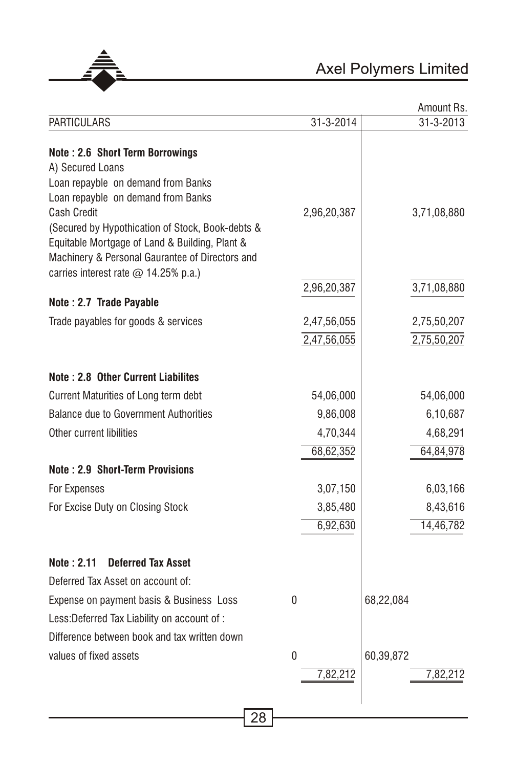

|                                                                                                   |             | Amount Rs.      |
|---------------------------------------------------------------------------------------------------|-------------|-----------------|
| <b>PARTICULARS</b>                                                                                | 31-3-2014   | $31 - 3 - 2013$ |
|                                                                                                   |             |                 |
| Note: 2.6 Short Term Borrowings<br>A) Secured Loans                                               |             |                 |
| Loan repayble on demand from Banks                                                                |             |                 |
| Loan repayble on demand from Banks                                                                |             |                 |
| <b>Cash Credit</b>                                                                                | 2,96,20,387 | 3,71,08,880     |
| (Secured by Hypothication of Stock, Book-debts &                                                  |             |                 |
| Equitable Mortgage of Land & Building, Plant &<br>Machinery & Personal Gaurantee of Directors and |             |                 |
| carries interest rate @ 14.25% p.a.)                                                              |             |                 |
|                                                                                                   | 2,96,20,387 | 3,71,08,880     |
| Note: 2.7 Trade Payable                                                                           |             |                 |
| Trade payables for goods & services                                                               | 2,47,56,055 | 2,75,50,207     |
|                                                                                                   | 2,47,56,055 | 2,75,50,207     |
|                                                                                                   |             |                 |
| Note: 2.8 Other Current Liabilites                                                                |             |                 |
| Current Maturities of Long term debt                                                              | 54,06,000   | 54,06,000       |
| <b>Balance due to Government Authorities</b>                                                      | 9,86,008    | 6,10,687        |
| Other current libilities                                                                          | 4,70,344    | 4,68,291        |
|                                                                                                   | 68,62,352   | 64,84,978       |
| Note: 2.9 Short-Term Provisions                                                                   |             |                 |
| For Expenses                                                                                      | 3,07,150    | 6,03,166        |
| For Excise Duty on Closing Stock                                                                  | 3,85,480    | 8,43,616        |
|                                                                                                   | 6,92,630    | 14,46,782       |
|                                                                                                   |             |                 |
| Note: 2.11<br><b>Deferred Tax Asset</b>                                                           |             |                 |
| Deferred Tax Asset on account of:                                                                 |             |                 |
| Expense on payment basis & Business Loss                                                          | 0           | 68,22,084       |
| Less: Deferred Tax Liability on account of :                                                      |             |                 |
| Difference between book and tax written down                                                      |             |                 |
| values of fixed assets                                                                            | 0           | 60,39,872       |
|                                                                                                   | 7,82,212    | 7,82,212        |
|                                                                                                   |             |                 |
| 28                                                                                                |             |                 |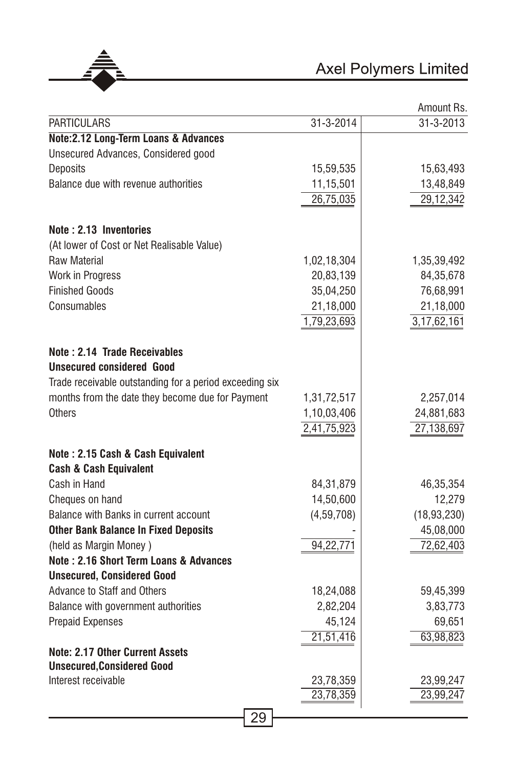

|                                                         |             | Amount Rs.      |
|---------------------------------------------------------|-------------|-----------------|
| <b>PARTICULARS</b>                                      | 31-3-2014   | $31 - 3 - 2013$ |
| Note: 2.12 Long-Term Loans & Advances                   |             |                 |
| Unsecured Advances, Considered good                     |             |                 |
| Deposits                                                | 15,59,535   | 15,63,493       |
| Balance due with revenue authorities                    | 11,15,501   | 13,48,849       |
|                                                         | 26,75,035   | 29,12,342       |
|                                                         |             |                 |
| Note: 2.13 Inventories                                  |             |                 |
| (At lower of Cost or Net Realisable Value)              |             |                 |
| <b>Raw Material</b>                                     | 1,02,18,304 | 1,35,39,492     |
| Work in Progress                                        | 20,83,139   | 84, 35, 678     |
| <b>Finished Goods</b>                                   | 35,04,250   | 76,68,991       |
| Consumables                                             | 21,18,000   | 21,18,000       |
|                                                         | 1,79,23,693 | 3,17,62,161     |
| Note: 2.14 Trade Receivables                            |             |                 |
| <b>Unsecured considered Good</b>                        |             |                 |
| Trade receivable outstanding for a period exceeding six |             |                 |
| months from the date they become due for Payment        | 1,31,72,517 | 2,257,014       |
| <b>Others</b>                                           | 1,10,03,406 | 24,881,683      |
|                                                         | 2,41,75,923 | 27,138,697      |
| Note: 2.15 Cash & Cash Equivalent                       |             |                 |
| <b>Cash &amp; Cash Equivalent</b>                       |             |                 |
| Cash in Hand                                            | 84,31,879   | 46, 35, 354     |
| Cheques on hand                                         | 14,50,600   | 12,279          |
| Balance with Banks in current account                   | (4,59,708)  | (18, 93, 230)   |
| <b>Other Bank Balance In Fixed Deposits</b>             |             | 45,08,000       |
| (held as Margin Money)                                  | 94,22,771   | 72,62,403       |
| Note: 2.16 Short Term Loans & Advances                  |             |                 |
| <b>Unsecured, Considered Good</b>                       |             |                 |
| Advance to Staff and Others                             | 18,24,088   | 59,45,399       |
| Balance with government authorities                     | 2,82,204    | 3,83,773        |
| <b>Prepaid Expenses</b>                                 | 45,124      | 69,651          |
|                                                         | 21,51,416   | 63,98,823       |
| <b>Note: 2.17 Other Current Assets</b>                  |             |                 |
| <b>Unsecured, Considered Good</b>                       |             |                 |
| Interest receivable                                     | 23,78,359   | 23,99,247       |
|                                                         | 23,78,359   | 23,99,247       |
| 29                                                      |             |                 |
|                                                         |             |                 |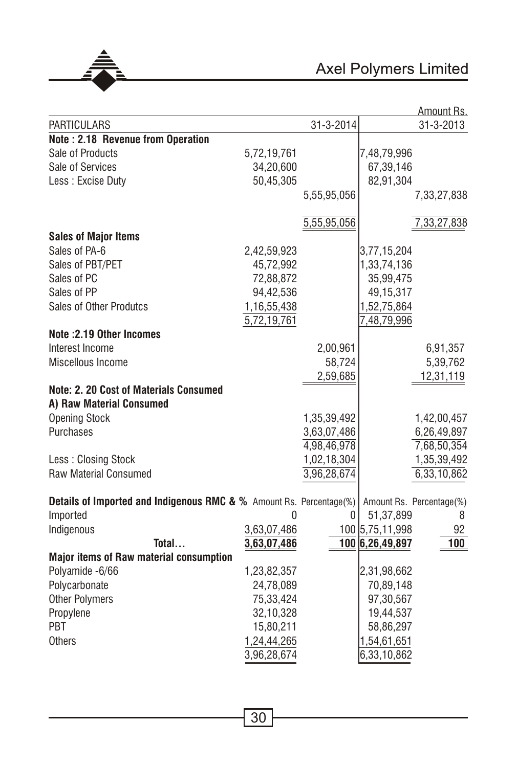

|                                                                                |             |             |                 | Amount Rs.               |
|--------------------------------------------------------------------------------|-------------|-------------|-----------------|--------------------------|
| <b>PARTICULARS</b>                                                             |             | 31-3-2014   |                 | 31-3-2013                |
| Note: 2.18 Revenue from Operation                                              |             |             |                 |                          |
| Sale of Products                                                               | 5,72,19,761 |             | 7,48,79,996     |                          |
| Sale of Services                                                               | 34,20,600   |             | 67,39,146       |                          |
| Less: Excise Duty                                                              | 50,45,305   |             | 82,91,304       |                          |
|                                                                                |             | 5,55,95,056 |                 | 7,33,27,838              |
|                                                                                |             |             |                 |                          |
|                                                                                |             | 5,55,95,056 |                 | 7,33,27,838              |
| <b>Sales of Major Items</b>                                                    |             |             |                 |                          |
| Sales of PA-6                                                                  | 2,42,59,923 |             | 3,77,15,204     |                          |
| Sales of PBT/PET                                                               | 45,72,992   |             | 1,33,74,136     |                          |
| Sales of PC                                                                    | 72,88,872   |             | 35,99,475       |                          |
| Sales of PP                                                                    | 94,42,536   |             | 49,15,317       |                          |
| Sales of Other Produtcs                                                        | 1,16,55,438 |             | 1,52,75,864     |                          |
|                                                                                | 5,72,19,761 |             | 7,48,79,996     |                          |
| <b>Note: 2.19 Other Incomes</b>                                                |             |             |                 |                          |
| Interest Income                                                                |             | 2,00,961    |                 | 6,91,357                 |
| Miscellous Income                                                              |             | 58,724      |                 | 5,39,762                 |
|                                                                                |             | 2,59,685    |                 | 12,31,119                |
| Note: 2, 20 Cost of Materials Consumed                                         |             |             |                 |                          |
| A) Raw Material Consumed                                                       |             |             |                 |                          |
| <b>Opening Stock</b>                                                           |             | 1,35,39,492 |                 | 1,42,00,457              |
| Purchases                                                                      |             | 3,63,07,486 |                 | 6,26,49,897              |
|                                                                                |             | 4,98,46,978 |                 | 7,68,50,354              |
| Less: Closing Stock                                                            |             | 1,02,18,304 |                 | 1,35,39,492              |
| <b>Raw Material Consumed</b>                                                   |             | 3,96,28,674 |                 | 6,33,10,862              |
|                                                                                |             |             |                 |                          |
| <b>Details of Imported and Indigenous RMC &amp; %</b> Amount Rs. Percentage(%) |             |             |                 | Amount Rs. Percentage(%) |
| Imported                                                                       | 0           | 0           | 51,37,899       | 8                        |
| Indigenous                                                                     | 3,63,07,486 |             | 100 5,75,11,998 | 92                       |
| Total                                                                          | 3,63,07,486 |             | 100 6,26,49,897 | 100                      |
| Major items of Raw material consumption                                        |             |             |                 |                          |
| Polyamide -6/66                                                                | 1,23,82,357 |             | 2,31,98,662     |                          |
| Polycarbonate                                                                  | 24,78,089   |             | 70,89,148       |                          |
| <b>Other Polymers</b>                                                          | 75,33,424   |             | 97,30,567       |                          |
| Propylene                                                                      | 32,10,328   |             | 19,44,537       |                          |
| PBT                                                                            | 15,80,211   |             | 58,86,297       |                          |
| <b>Others</b>                                                                  | 1,24,44,265 |             | 1,54,61,651     |                          |
|                                                                                | 3,96,28,674 |             | 6,33,10,862     |                          |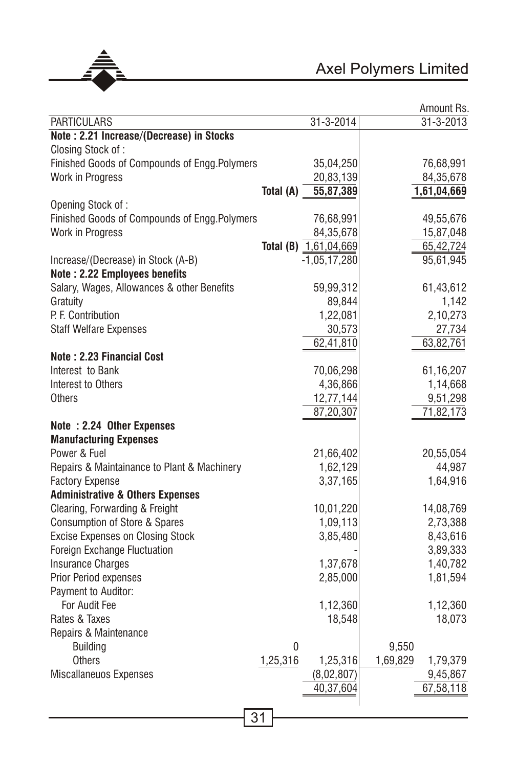

|                                               |                        | Amount Rs.           |
|-----------------------------------------------|------------------------|----------------------|
| <b>PARTICULARS</b>                            | 31-3-2014              | 31-3-2013            |
| Note: 2.21 Increase/(Decrease) in Stocks      |                        |                      |
| Closing Stock of:                             |                        |                      |
| Finished Goods of Compounds of Engg.Polymers  | 35,04,250              | 76,68,991            |
| Work in Progress                              | 20,83,139              | 84, 35, 678          |
|                                               | Total (A)<br>55,87,389 | 1,61,04,669          |
| Opening Stock of:                             |                        |                      |
| Finished Goods of Compounds of Engg.Polymers  | 76,68,991              | 49,55,676            |
| Work in Progress                              | 84,35,678              | 15,87,048            |
|                                               | Total (B) 1,61,04,669  | 65,42,724            |
| Increase/(Decrease) in Stock (A-B)            | $-1,05,17,280$         | 95,61,945            |
| Note: 2.22 Employees benefits                 |                        |                      |
| Salary, Wages, Allowances & other Benefits    | 59,99,312              | 61,43,612            |
| Gratuity                                      | 89,844                 | 1,142                |
| P. F. Contribution                            | 1,22,081               | 2,10,273             |
| <b>Staff Welfare Expenses</b>                 | 30,573                 | 27,734               |
|                                               | 62,41,810              | 63,82,761            |
|                                               |                        |                      |
| Note: 2.23 Financial Cost<br>Interest to Bank |                        |                      |
|                                               | 70,06,298              | 61,16,207            |
| Interest to Others                            | 4,36,866               | 1,14,668             |
| <b>Others</b>                                 | 12,77,144              | 9,51,298             |
|                                               | 87,20,307              | 71,82,173            |
| Note: 2.24 Other Expenses                     |                        |                      |
| <b>Manufacturing Expenses</b>                 |                        |                      |
| Power & Fuel                                  | 21,66,402              | 20,55,054            |
| Repairs & Maintainance to Plant & Machinery   | 1,62,129               | 44,987               |
| <b>Factory Expense</b>                        | 3,37,165               | 1,64,916             |
| <b>Administrative &amp; Others Expenses</b>   |                        |                      |
| Clearing, Forwarding & Freight                | 10,01,220              | 14,08,769            |
| Consumption of Store & Spares                 | 1,09,113               | 2,73,388             |
| <b>Excise Expenses on Closing Stock</b>       | 3,85,480               | 8,43,616             |
| Foreign Exchange Fluctuation                  |                        | 3,89,333             |
| <b>Insurance Charges</b>                      | 1,37,678               | 1,40,782             |
| Prior Period expenses                         | 2,85,000               | 1,81,594             |
| Payment to Auditor:                           |                        |                      |
| For Audit Fee                                 | 1,12,360               | 1,12,360             |
| Rates & Taxes                                 | 18,548                 | 18,073               |
| Repairs & Maintenance                         |                        |                      |
| <b>Building</b>                               | 0                      | 9,550                |
| <b>Others</b>                                 | 1,25,316<br>1,25,316   | 1,69,829<br>1,79,379 |
| Miscallaneuos Expenses                        | (8,02,807)             | 9,45,867             |
|                                               | 40,37,604              | 67,58,118            |
|                                               |                        |                      |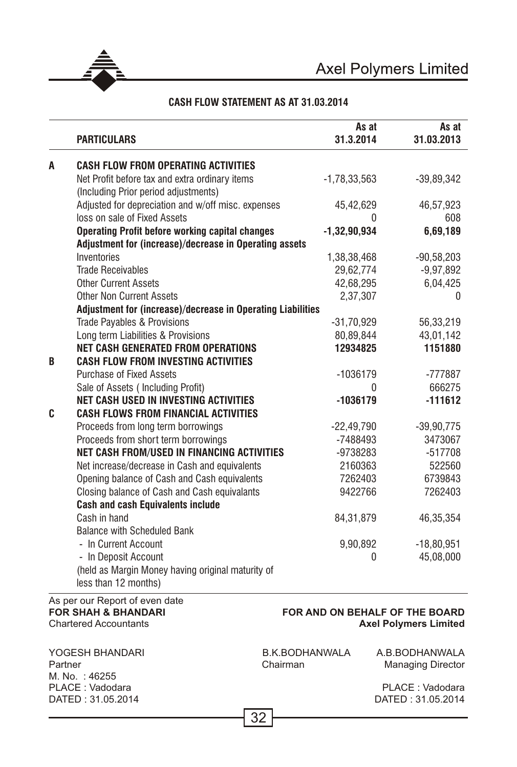

# **CASH FLOW STATEMENT AS AT 31.03.2014**

|   | <b>PARTICULARS</b>                                          | As at<br>31.3.2014 | As at<br>31.03.2013 |
|---|-------------------------------------------------------------|--------------------|---------------------|
| A | <b>CASH FLOW FROM OPERATING ACTIVITIES</b>                  |                    |                     |
|   | Net Profit before tax and extra ordinary items              | $-1,78,33,563$     | $-39,89,342$        |
|   | (Including Prior period adjustments)                        |                    |                     |
|   | Adjusted for depreciation and w/off misc. expenses          | 45,42,629          | 46,57,923           |
|   | loss on sale of Fixed Assets                                | 0                  | 608                 |
|   | <b>Operating Profit before working capital changes</b>      | $-1,32,90,934$     | 6,69,189            |
|   | Adjustment for (increase)/decrease in Operating assets      |                    |                     |
|   | Inventories                                                 | 1,38,38,468        | $-90,58,203$        |
|   | <b>Trade Receivables</b>                                    | 29,62,774          | $-9,97,892$         |
|   | <b>Other Current Assets</b>                                 | 42,68,295          | 6,04,425            |
|   | <b>Other Non Current Assets</b>                             | 2,37,307           | 0                   |
|   | Adjustment for (increase)/decrease in Operating Liabilities |                    |                     |
|   | Trade Payables & Provisions                                 | $-31,70,929$       | 56,33,219           |
|   | Long term Liabilities & Provisions                          | 80,89,844          | 43,01,142           |
|   | <b>NET CASH GENERATED FROM OPERATIONS</b>                   | 12934825           | 1151880             |
| B | <b>CASH FLOW FROM INVESTING ACTIVITIES</b>                  |                    |                     |
|   | <b>Purchase of Fixed Assets</b>                             | -1036179           | -777887             |
|   | Sale of Assets (Including Profit)                           | 0                  | 666275              |
|   | <b>NET CASH USED IN INVESTING ACTIVITIES</b>                | $-1036179$         | $-111612$           |
| C | <b>CASH FLOWS FROM FINANCIAL ACTIVITIES</b>                 |                    |                     |
|   | Proceeds from long term borrowings                          | $-22,49,790$       | $-39,90,775$        |
|   | Proceeds from short term borrowings                         | -7488493           | 3473067             |
|   | <b>NET CASH FROM/USED IN FINANCING ACTIVITIES</b>           | -9738283           | $-517708$           |
|   | Net increase/decrease in Cash and equivalents               | 2160363            | 522560              |
|   | Opening balance of Cash and Cash equivalents                | 7262403            | 6739843             |
|   | Closing balance of Cash and Cash equivalants                | 9422766            | 7262403             |
|   | <b>Cash and cash Equivalents include</b>                    |                    |                     |
|   | Cash in hand                                                | 84,31,879          | 46,35,354           |
|   | <b>Balance with Scheduled Bank</b>                          |                    |                     |
|   | - In Current Account                                        | 9,90,892           | $-18,80,951$        |
|   | - In Deposit Account                                        | 0                  | 45,08,000           |
|   | (held as Margin Money having original maturity of           |                    |                     |
|   | less than 12 months)                                        |                    |                     |

As per our Report of even date<br>FOR SHAH & BHANDARI Chartered Accountants

M. No. : 46255 PLACE : Vadodara PLACE : Vadodara DATED: 31.05.2014

#### **FOR AND ON BEHALF OF THE BOARD Axel Polymers Limited**

YOGESH BHANDARI B.K.BODHANWALA A.B.BODHANWALA Partner **Managing Director** Chairman Managing Director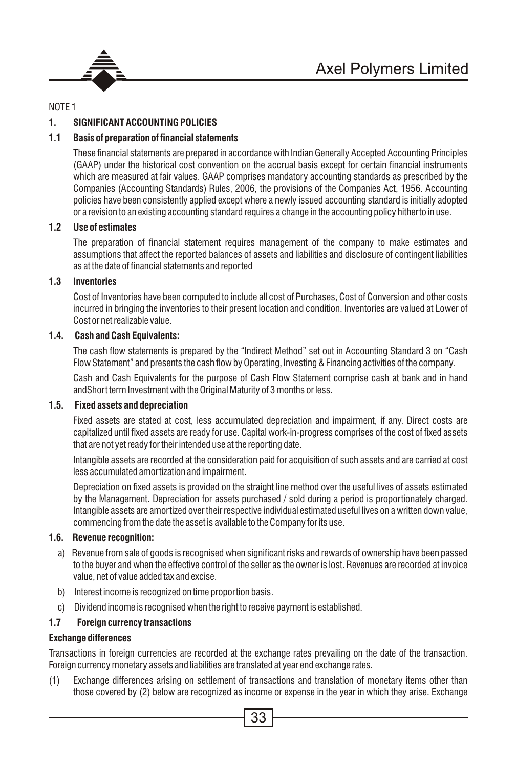

#### NOTE 1

#### **1. SIGNIFICANT ACCOUNTING POLICIES**

#### **1.1 Basis of preparation of financial statements**

These financial statements are prepared in accordance with Indian Generally Accepted Accounting Principles (GAAP) under the historical cost convention on the accrual basis except for certain financial instruments which are measured at fair values. GAAP comprises mandatory accounting standards as prescribed by the Companies (Accounting Standards) Rules, 2006, the provisions of the Companies Act, 1956. Accounting policies have been consistently applied except where a newly issued accounting standard is initially adopted or a revision to an existing accounting standard requires a change in the accounting policy hitherto in use.

#### **1.2 Use of estimates**

The preparation of financial statement requires management of the company to make estimates and assumptions that affect the reported balances of assets and liabilities and disclosure of contingent liabilities as at the date of financial statements and reported

#### **1.3 Inventories**

Cost of Inventories have been computed to include all cost of Purchases, Cost of Conversion and other costs incurred in bringing the inventories to their present location and condition. Inventories are valued at Lower of Cost or net realizable value.

#### **1.4. Cash and Cash Equivalents:**

The cash flow statements is prepared by the "Indirect Method" set out in Accounting Standard 3 on "Cash Flow Statement" and presents the cash flow by Operating, Investing & Financing activities of the company.

Cash and Cash Equivalents for the purpose of Cash Flow Statement comprise cash at bank and in hand andShort term Investment with the Original Maturity of 3 months or less.

#### **1.5. Fixed assets and depreciation**

Fixed assets are stated at cost, less accumulated depreciation and impairment, if any. Direct costs are capitalized until fixed assets are ready for use. Capital work-in-progress comprises of the cost of fixed assets that are not yet ready for their intended use at the reporting date.

Intangible assets are recorded at the consideration paid for acquisition of such assets and are carried at cost less accumulated amortization and impairment.

Depreciation on fixed assets is provided on the straight line method over the useful lives of assets estimated by the Management. Depreciation for assets purchased / sold during a period is proportionately charged. Intangible assets are amortized over their respective individual estimated useful lives on a written down value, commencing from the date the asset is available to the Company for its use.

#### **1.6. Revenue recognition:**

- a) Revenue from sale of goods is recognised when significant risks and rewards of ownership have been passed to the buyer and when the effective control of the seller as the owner is lost. Revenues are recorded at invoice value, net of value added tax and excise.
- b) Interest income is recognized on time proportion basis.
- c) Dividend income is recognised when the right to receive payment is established.

#### **1.7 Foreign currency transactions**

#### **Exchange differences**

Transactions in foreign currencies are recorded at the exchange rates prevailing on the date of the transaction. Foreign currency monetary assets and liabilities are translated at year end exchange rates.

(1) Exchange differences arising on settlement of transactions and translation of monetary items other than those covered by (2) below are recognized as income or expense in the year in which they arise. Exchange

33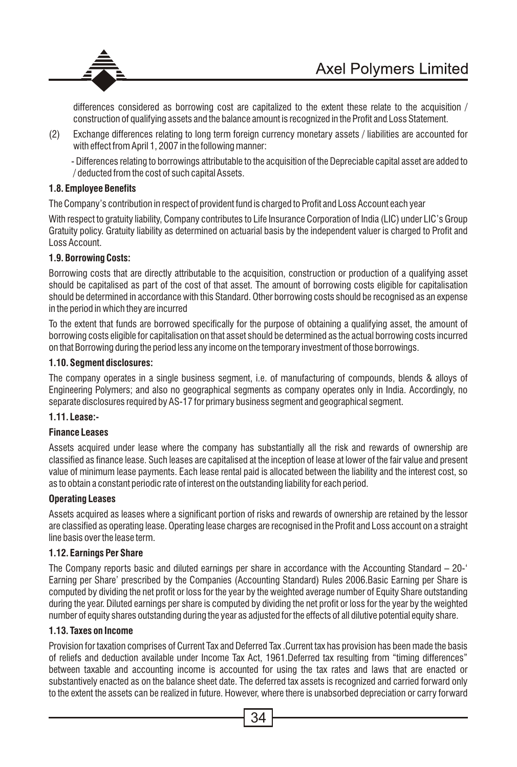differences considered as borrowing cost are capitalized to the extent these relate to the acquisition / construction of qualifying assets and the balance amount is recognized in the Profit and Loss Statement.

(2) Exchange differences relating to long term foreign currency monetary assets / liabilities are accounted for with effect from April 1, 2007 in the following manner:

- Differences relating to borrowings attributable to the acquisition of the Depreciable capital asset are added to / deducted from the cost of such capital Assets.

#### **1.8. Employee Benefits**

The Company's contribution in respect of provident fund is charged to Profit and Loss Account each year

With respect to gratuity liability, Company contributes to Life Insurance Corporation of India (LIC) under LIC's Group Gratuity policy. Gratuity liability as determined on actuarial basis by the independent valuer is charged to Profit and Loss Account.

#### **1.9. Borrowing Costs:**

Borrowing costs that are directly attributable to the acquisition, construction or production of a qualifying asset should be capitalised as part of the cost of that asset. The amount of borrowing costs eligible for capitalisation should be determined in accordance with this Standard. Other borrowing costs should be recognised as an expense in the period in which they are incurred

To the extent that funds are borrowed specifically for the purpose of obtaining a qualifying asset, the amount of borrowing costs eligible for capitalisation on that asset should be determined as the actual borrowing costs incurred on that Borrowing during the period less any income on the temporary investment of those borrowings.

#### **1.10. Segment disclosures:**

The company operates in a single business segment, i.e. of manufacturing of compounds, blends & alloys of Engineering Polymers; and also no geographical segments as company operates only in India. Accordingly, no separate disclosures required by AS-17 for primary business segment and geographical segment.

#### **1.11. Lease:-**

#### **Finance Leases**

Assets acquired under lease where the company has substantially all the risk and rewards of ownership are classified as finance lease. Such leases are capitalised at the inception of lease at lower of the fair value and present value of minimum lease payments. Each lease rental paid is allocated between the liability and the interest cost, so as to obtain a constant periodic rate of interest on the outstanding liability for each period.

#### **Operating Leases**

Assets acquired as leases where a significant portion of risks and rewards of ownership are retained by the lessor are classified as operating lease. Operating lease charges are recognised in the Profit and Loss account on a straight line basis over the lease term.

#### **1.12. Earnings Per Share**

The Company reports basic and diluted earnings per share in accordance with the Accounting Standard – 20-' Earning per Share' prescribed by the Companies (Accounting Standard) Rules 2006.Basic Earning per Share is computed by dividing the net profit or loss for the year by the weighted average number of Equity Share outstanding during the year. Diluted earnings per share is computed by dividing the net profit or loss for the year by the weighted number of equity shares outstanding during the year as adjusted for the effects of all dilutive potential equity share.

#### **1.13. Taxes on Income**

Provision for taxation comprises of Current Tax and Deferred Tax .Current tax has provision has been made the basis of reliefs and deduction available under Income Tax Act, 1961.Deferred tax resulting from "timing differences" between taxable and accounting income is accounted for using the tax rates and laws that are enacted or substantively enacted as on the balance sheet date. The deferred tax assets is recognized and carried forward only to the extent the assets can be realized in future. However, where there is unabsorbed depreciation or carry forward

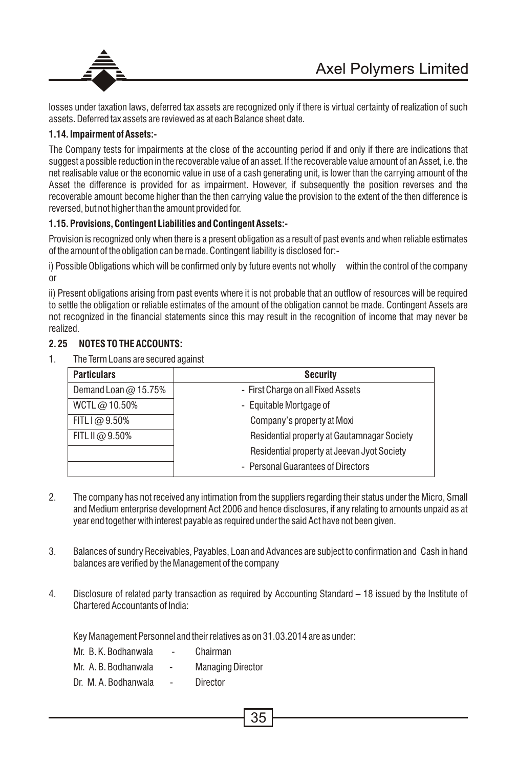

losses under taxation laws, deferred tax assets are recognized only if there is virtual certainty of realization of such assets. Deferred tax assets are reviewed as at each Balance sheet date.

#### **1.14. Impairment of Assets:-**

The Company tests for impairments at the close of the accounting period if and only if there are indications that suggest a possible reduction in the recoverable value of an asset. If the recoverable value amount of an Asset, i.e. the net realisable value or the economic value in use of a cash generating unit, is lower than the carrying amount of the Asset the difference is provided for as impairment. However, if subsequently the position reverses and the recoverable amount become higher than the then carrying value the provision to the extent of the then difference is reversed, but not higher than the amount provided for.

#### **1.15. Provisions, Contingent Liabilities and Contingent Assets:-**

Provision is recognized only when there is a present obligation as a result of past events and when reliable estimates of the amount of the obligation can be made. Contingent liability is disclosed for:-

i) Possible Obligations which will be confirmed only by future events not wholly within the control of the company or

ii) Present obligations arising from past events where it is not probable that an outflow of resources will be required to settle the obligation or reliable estimates of the amount of the obligation cannot be made. Contingent Assets are not recognized in the financial statements since this may result in the recognition of income that may never be realized.

#### **2. 25 NOTES TO THE ACCOUNTS:**

1. The Term Loans are secured against

| <b>Particulars</b>     | <b>Security</b>                             |  |
|------------------------|---------------------------------------------|--|
| Demand Loan $@$ 15.75% | - First Charge on all Fixed Assets          |  |
| WCTL @ $10.50\%$       | - Equitable Mortgage of                     |  |
| FITL1@9.50%            | Company's property at Moxi                  |  |
| FITL II @ $9.50\%$     | Residential property at Gautamnagar Society |  |
|                        | Residential property at Jeevan Jyot Society |  |
|                        | - Personal Guarantees of Directors          |  |

- 2. The company has not received any intimation from the suppliers regarding their status under the Micro, Small and Medium enterprise development Act 2006 and hence disclosures, if any relating to amounts unpaid as at year end together with interest payable as required under the said Act have not been given.
- 3. Balances of sundry Receivables, Payables, Loan and Advances are subject to confirmation and Cash in hand balances are verified by the Management of the company
- 4. Disclosure of related party transaction as required by Accounting Standard 18 issued by the Institute of Chartered Accountants of India:

Key Management Personnel and their relatives as on 31.03.2014 are as under:

| Mr. B. K. Bodhanwala | $\sim$                   | Chairman                 |
|----------------------|--------------------------|--------------------------|
| Mr. A. B. Bodhanwala | $\overline{\phantom{0}}$ | <b>Managing Director</b> |
| Dr. M. A. Bodhanwala | $\sim$                   | Director                 |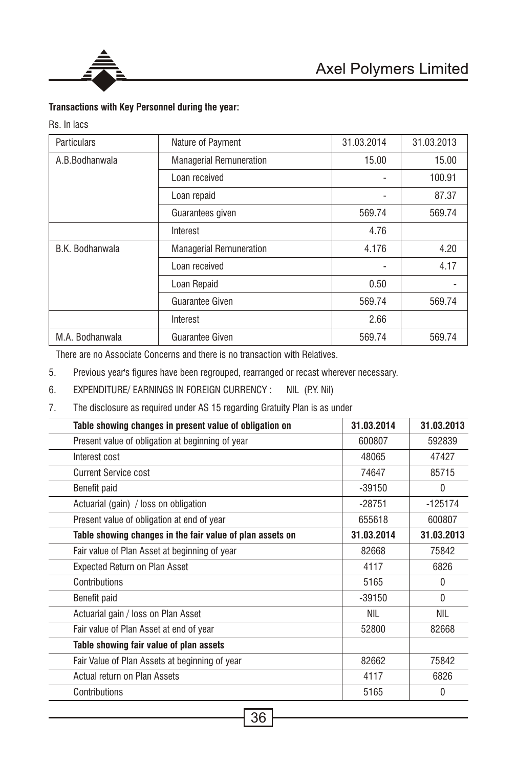

# **Axel Polymers Limited**

#### **Transactions with Key Personnel during the year:**

Rs. In lacs

| Particulars     | Nature of Payment              | 31.03.2014 | 31.03.2013 |
|-----------------|--------------------------------|------------|------------|
| A.B.Bodhanwala  | <b>Managerial Remuneration</b> | 15.00      | 15.00      |
|                 | Loan received                  |            | 100.91     |
|                 | Loan repaid                    |            | 87.37      |
|                 | Guarantees given               | 569.74     | 569.74     |
|                 | Interest                       | 4.76       |            |
| B.K. Bodhanwala | <b>Managerial Remuneration</b> | 4.176      | 4.20       |
|                 | Loan received                  |            | 4.17       |
|                 | Loan Repaid                    | 0.50       |            |
|                 | Guarantee Given                | 569.74     | 569.74     |
|                 | Interest                       | 2.66       |            |
| M.A. Bodhanwala | Guarantee Given                | 569.74     | 569.74     |

There are no Associate Concerns and there is no transaction with Relatives.

5. Previous year's figures have been regrouped, rearranged or recast wherever necessary.

6. EXPENDITURE/ EARNINGS IN FOREIGN CURRENCY : NIL (P.Y. Nil)

7. The disclosure as required under AS 15 regarding Gratuity Plan is as under

| Table showing changes in present value of obligation on   | 31.03.2014 | 31.03.2013   |
|-----------------------------------------------------------|------------|--------------|
| Present value of obligation at beginning of year          | 600807     | 592839       |
| Interest cost                                             | 48065      | 47427        |
| <b>Current Service cost</b>                               | 74647      | 85715        |
| Benefit paid                                              | $-39150$   | $\Omega$     |
| Actuarial (gain) / loss on obligation                     | $-28751$   | $-125174$    |
| Present value of obligation at end of year                | 655618     | 600807       |
| Table showing changes in the fair value of plan assets on | 31.03.2014 | 31.03.2013   |
| Fair value of Plan Asset at beginning of year             | 82668      | 75842        |
| <b>Expected Return on Plan Asset</b>                      | 4117       | 6826         |
| Contributions                                             | 5165       | <sup>0</sup> |
| Benefit paid                                              | $-39150$   | $\Omega$     |
| Actuarial gain / loss on Plan Asset                       | NIL        | NIL          |
| Fair value of Plan Asset at end of year                   | 52800      | 82668        |
| Table showing fair value of plan assets                   |            |              |
| Fair Value of Plan Assets at beginning of year            | 82662      | 75842        |
| Actual return on Plan Assets                              | 4117       | 6826         |
| Contributions                                             | 5165       | 0            |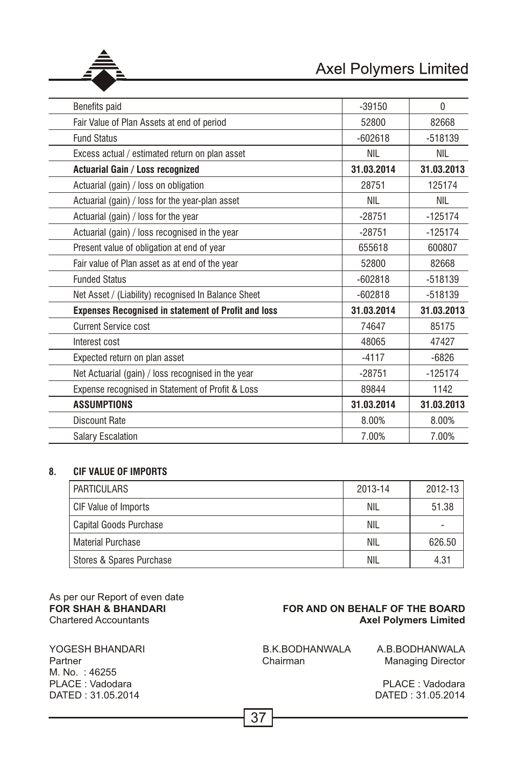

| Benefits paid                                              | $-39150$   | 0          |
|------------------------------------------------------------|------------|------------|
| Fair Value of Plan Assets at end of period                 | 52800      | 82668      |
| <b>Fund Status</b>                                         | $-602618$  | $-518139$  |
| Excess actual / estimated return on plan asset             | <b>NIL</b> | <b>NIL</b> |
| Actuarial Gain / Loss recognized                           | 31.03.2014 | 31.03.2013 |
| Actuarial (gain) / loss on obligation                      | 28751      | 125174     |
| Actuarial (gain) / loss for the year-plan asset            | NIL        | <b>NIL</b> |
| Actuarial (gain) / loss for the year                       | $-28751$   | $-125174$  |
| Actuarial (gain) / loss recognised in the year             | $-28751$   | $-125174$  |
| Present value of obligation at end of year                 | 655618     | 600807     |
| Fair value of Plan asset as at end of the year             | 52800      | 82668      |
| <b>Funded Status</b>                                       | $-602818$  | $-518139$  |
| Net Asset / (Liability) recognised In Balance Sheet        | $-602818$  | $-518139$  |
| <b>Expenses Recognised in statement of Profit and loss</b> | 31.03.2014 | 31.03.2013 |
| <b>Current Service cost</b>                                | 74647      | 85175      |
| Interest cost                                              | 48065      | 47427      |
| Expected return on plan asset                              | $-4117$    | $-6826$    |
| Net Actuarial (gain) / loss recognised in the year         | $-28751$   | $-125174$  |
| Expense recognised in Statement of Profit & Loss           | 89844      | 1142       |
| <b>ASSUMPTIONS</b>                                         | 31.03.2014 | 31.03.2013 |
| Discount Rate                                              | 8.00%      | 8.00%      |
| <b>Salary Escalation</b>                                   | 7.00%      | 7.00%      |

#### **8. CIF VALUE OF IMPORTS**

| <b>PARTICULARS</b>          | 2013-14 | 2012-13 |
|-----------------------------|---------|---------|
| <b>CIF Value of Imports</b> | NIL     | 51.38   |
| Capital Goods Purchase      | NIL     |         |
| <b>Material Purchase</b>    | NIL     | 626.50  |
| Stores & Spares Purchase    | NIL     | 4.31    |

As per our Report of even date<br>FOR SHAH & BHANDARI Chartered Accountants

# YOGESH BHANDARI B.K.BODHANWALA A.B.BODHANWALA<br>Partner Managing Director Chairman Chairman Managing Director M. No. : 46255 PLACE : Vadodara PLACE : Vadodara

#### **FOR AND ON BEHALF OF THE BOARD Axel Polymers Limited**

Managing Director

DATED: 31.05.2014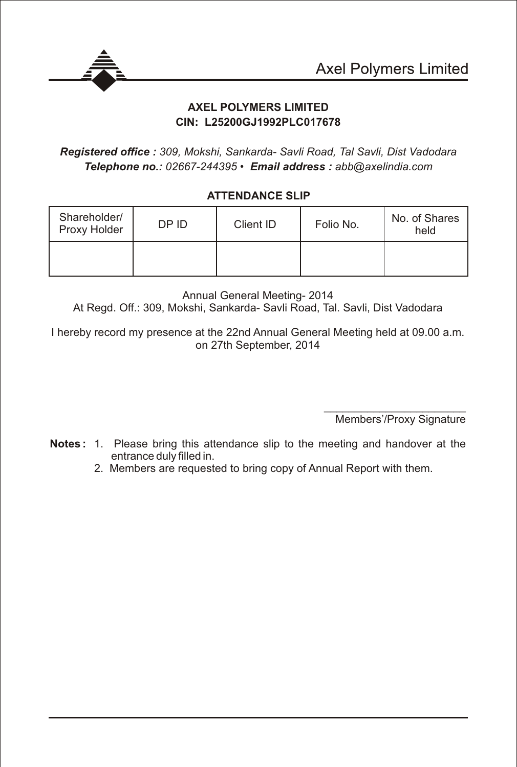



# **AXEL POLYMERS LIMITED CIN: L25200GJ1992PLC017678**

*Registered office : 309, Mokshi, Sankarda- Savli Road, Tal Savli, Dist Vadodara Telephone no.: 02667-244395 • Email address : abb@axelindia.com*

# **ATTENDANCE SLIP**

| Shareholder/ | DP ID     |  | Folio No. | No. of Shares |  |
|--------------|-----------|--|-----------|---------------|--|
| Proxy Holder | Client ID |  |           | held          |  |
|              |           |  |           |               |  |

Annual General Meeting- 2014

At Regd. Off.: 309, Mokshi, Sankarda- Savli Road, Tal. Savli, Dist Vadodara

I hereby record my presence at the 22nd Annual General Meeting held at 09.00 a.m. on 27th September, 2014

> $\frac{1}{2}$  ,  $\frac{1}{2}$  ,  $\frac{1}{2}$  ,  $\frac{1}{2}$  ,  $\frac{1}{2}$  ,  $\frac{1}{2}$  ,  $\frac{1}{2}$  ,  $\frac{1}{2}$  ,  $\frac{1}{2}$  ,  $\frac{1}{2}$  ,  $\frac{1}{2}$  ,  $\frac{1}{2}$  ,  $\frac{1}{2}$  ,  $\frac{1}{2}$  ,  $\frac{1}{2}$  ,  $\frac{1}{2}$  ,  $\frac{1}{2}$  ,  $\frac{1}{2}$  ,  $\frac{1$ Members'/Proxy Signature

- **Notes :** 1. Please bring this attendance slip to the meeting and handover at the entrance duly filled in.
	- 2. Members are requested to bring copy of Annual Report with them.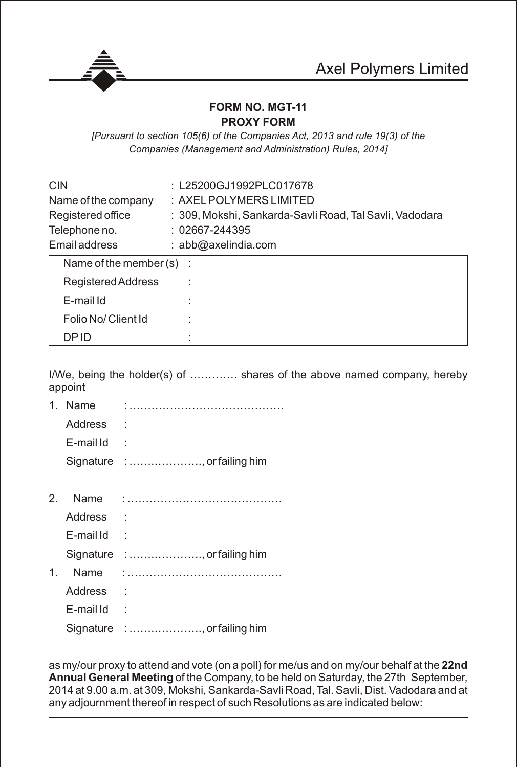

# **FORM NO. MGT-11 PROXY FORM**

*[Pursuant to section 105(6) of the Companies Act, 2013 and rule 19(3) of the Companies (Management and Administration) Rules, 2014]*

| <b>CIN</b>                 | : L25200GJ1992PLC017678                                 |
|----------------------------|---------------------------------------------------------|
| Name of the company        | : AXELPOLYMERS LIMITED                                  |
| Registered office          | : 309, Mokshi, Sankarda-Savli Road, Tal Savli, Vadodara |
| Telephone no.              | $:02667 - 244395$                                       |
| Email address              | $:$ abb@axelindia.com                                   |
| Name of the member $(s)$ : |                                                         |
| Registered Address         |                                                         |
| E-mail Id                  |                                                         |
| Folio No/ Client Id        |                                                         |
| DP ID                      |                                                         |

I/We, being the holder(s) of …………. shares of the above named company, hereby appoint

- 1. Name : …………………………………… Address :  $F$ -mail  $Id$  : Signature : …….…………., or failing him
- 2. Name : …………………………………… Address :  $E$ -mail  $Id$ : Signature : ……………………………. or failing him 1. Name : …………………………………… Address .  $E$ -mail  $Id$ :

Signature : …….…………., or failing him

as my/our proxy to attend and vote (on a poll) for me/us and on my/our behalf at the **22nd Annual General Meeting** of the Company, to be held on Saturday, the 27th September, 2014 at 9.00 a.m. at 309, Mokshi, Sankarda-Savli Road, Tal. Savli, Dist. Vadodara and at any adjournment thereof in respect of such Resolutions as are indicated below: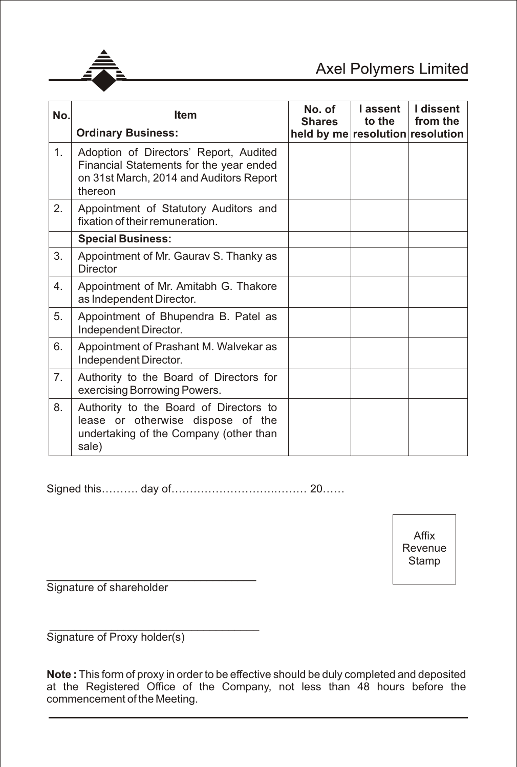

# **Axel Polymers Limited**

| No.            | <b>Item</b>                                                                                                                             | No. of<br><b>Shares</b>          | <b>Lassent</b><br>to the | I dissent<br>from the |
|----------------|-----------------------------------------------------------------------------------------------------------------------------------------|----------------------------------|--------------------------|-----------------------|
|                | <b>Ordinary Business:</b>                                                                                                               | held by me resolution resolution |                          |                       |
| 1 <sub>1</sub> | Adoption of Directors' Report, Audited<br>Financial Statements for the year ended<br>on 31st March, 2014 and Auditors Report<br>thereon |                                  |                          |                       |
| 2.             | Appointment of Statutory Auditors and<br>fixation of their remuneration.                                                                |                                  |                          |                       |
|                | <b>Special Business:</b>                                                                                                                |                                  |                          |                       |
| 3.             | Appointment of Mr. Gauray S. Thanky as<br><b>Director</b>                                                                               |                                  |                          |                       |
| 4.             | Appointment of Mr. Amitabh G. Thakore<br>as Independent Director.                                                                       |                                  |                          |                       |
| 5.             | Appointment of Bhupendra B. Patel as<br>Independent Director.                                                                           |                                  |                          |                       |
| 6.             | Appointment of Prashant M. Walvekar as<br>Independent Director.                                                                         |                                  |                          |                       |
| 7.             | Authority to the Board of Directors for<br>exercising Borrowing Powers.                                                                 |                                  |                          |                       |
| 8.             | Authority to the Board of Directors to<br>lease or otherwise dispose of the<br>undertaking of the Company (other than<br>sale)          |                                  |                          |                       |

Signed this………. day of……………………….……… 20……

Affix Revenue Stamp

 $\overline{\phantom{a}}$  , and the set of the set of the set of the set of the set of the set of the set of the set of the set of the set of the set of the set of the set of the set of the set of the set of the set of the set of the s Signature of shareholder

 $\overline{\phantom{a}}$  , and the set of the set of the set of the set of the set of the set of the set of the set of the set of the set of the set of the set of the set of the set of the set of the set of the set of the set of the s Signature of Proxy holder(s)

**Note :** This form of proxy in order to be effective should be duly completed and deposited at the Registered Office of the Company, not less than 48 hours before the commencement of the Meeting.